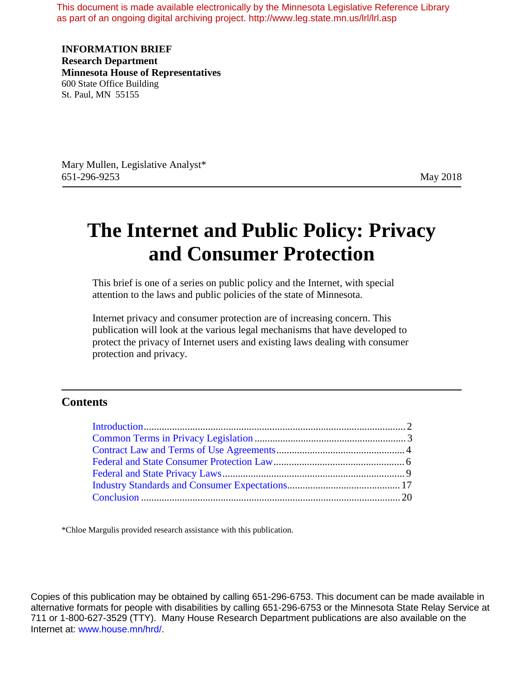This document is made available electronically by the Minnesota Legislative Reference Library as part of an ongoing digital archiving project. http://www.leg.state.mn.us/lrl/lrl.asp

**INFORMATION BRIEF Research Department Minnesota House of Representatives** 600 State Office Building St. Paul, MN 55155

Mary Mullen, Legislative Analyst\* 651-296-9253 May 2018

# **The Internet and Public Policy: Privacy and Consumer Protection**

This brief is one of a series on public policy and the Internet, with special attention to the laws and public policies of the state of Minnesota.

Internet privacy and consumer protection are of increasing concern. This publication will look at the various legal mechanisms that have developed to protect the privacy of Internet users and existing laws dealing with consumer protection and privacy.

#### **Contents**

\*Chloe Margulis provided research assistance with this publication.

Copies of this publication may be obtained by calling 651-296-6753. This document can be made available in alternative formats for people with disabilities by calling 651-296-6753 or the Minnesota State Relay Service at 711 or 1-800-627-3529 (TTY). Many House Research Department publications are also available on the Internet at: www.house.mn/hrd/.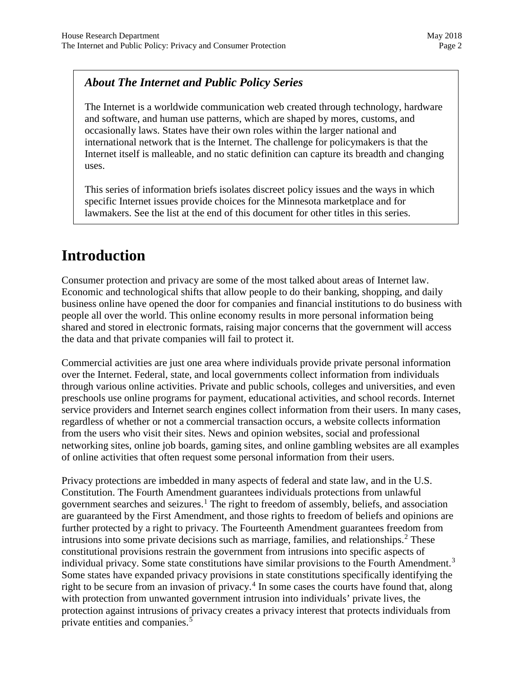### *About The Internet and Public Policy Series*

The Internet is a worldwide communication web created through technology, hardware and software, and human use patterns, which are shaped by mores, customs, and occasionally laws. States have their own roles within the larger national and international network that is the Internet. The challenge for policymakers is that the Internet itself is malleable, and no static definition can capture its breadth and changing uses.

This series of information briefs isolates discreet policy issues and the ways in which specific Internet issues provide choices for the Minnesota marketplace and for lawmakers. See the list at the end of this document for other titles in this series.

## **Introduction**

Consumer protection and privacy are some of the most talked about areas of Internet law. Economic and technological shifts that allow people to do their banking, shopping, and daily business online have opened the door for companies and financial institutions to do business with people all over the world. This online economy results in more personal information being shared and stored in electronic formats, raising major concerns that the government will access the data and that private companies will fail to protect it.

Commercial activities are just one area where individuals provide private personal information over the Internet. Federal, state, and local governments collect information from individuals through various online activities. Private and public schools, colleges and universities, and even preschools use online programs for payment, educational activities, and school records. Internet service providers and Internet search engines collect information from their users. In many cases, regardless of whether or not a commercial transaction occurs, a website collects information from the users who visit their sites. News and opinion websites, social and professional networking sites, online job boards, gaming sites, and online gambling websites are all examples of online activities that often request some personal information from their users.

Privacy protections are imbedded in many aspects of federal and state law, and in the U.S. Constitution. The Fourth Amendment guarantees individuals protections from unlawful government searches and seizures.<sup>[1](#page-20-0)</sup> The right to freedom of assembly, beliefs, and association are guaranteed by the First Amendment, and those rights to freedom of beliefs and opinions are further protected by a right to privacy. The Fourteenth Amendment guarantees freedom from intrusions into some private decisions such as marriage, families, and relationships.<sup>[2](#page-20-1)</sup> These constitutional provisions restrain the government from intrusions into specific aspects of individual privacy. Some state constitutions have similar provisions to the Fourth Amendment.<sup>[3](#page-20-2)</sup> Some states have expanded privacy provisions in state constitutions specifically identifying the right to be secure from an invasion of privacy.<sup>[4](#page-20-3)</sup> In some cases the courts have found that, along with protection from unwanted government intrusion into individuals' private lives, the protection against intrusions of privacy creates a privacy interest that protects individuals from private entities and companies.<sup>[5](#page-20-4)</sup>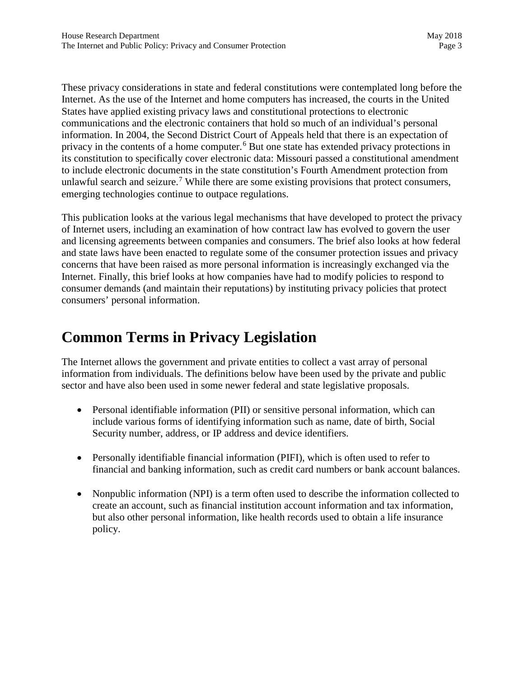These privacy considerations in state and federal constitutions were contemplated long before the Internet. As the use of the Internet and home computers has increased, the courts in the United States have applied existing privacy laws and constitutional protections to electronic communications and the electronic containers that hold so much of an individual's personal information. In 2004, the Second District Court of Appeals held that there is an expectation of privacy in the contents of a home computer.<sup>[6](#page-21-0)</sup> But one state has extended privacy protections in its constitution to specifically cover electronic data: Missouri passed a constitutional amendment to include electronic documents in the state constitution's Fourth Amendment protection from unlawful search and seizure.<sup>[7](#page-21-1)</sup> While there are some existing provisions that protect consumers, emerging technologies continue to outpace regulations.

This publication looks at the various legal mechanisms that have developed to protect the privacy of Internet users, including an examination of how contract law has evolved to govern the user and licensing agreements between companies and consumers. The brief also looks at how federal and state laws have been enacted to regulate some of the consumer protection issues and privacy concerns that have been raised as more personal information is increasingly exchanged via the Internet. Finally, this brief looks at how companies have had to modify policies to respond to consumer demands (and maintain their reputations) by instituting privacy policies that protect consumers' personal information.

## **Common Terms in Privacy Legislation**

The Internet allows the government and private entities to collect a vast array of personal information from individuals. The definitions below have been used by the private and public sector and have also been used in some newer federal and state legislative proposals.

- Personal identifiable information (PII) or sensitive personal information, which can include various forms of identifying information such as name, date of birth, Social Security number, address, or IP address and device identifiers.
- Personally identifiable financial information (PIFI), which is often used to refer to financial and banking information, such as credit card numbers or bank account balances.
- Nonpublic information (NPI) is a term often used to describe the information collected to create an account, such as financial institution account information and tax information, but also other personal information, like health records used to obtain a life insurance policy.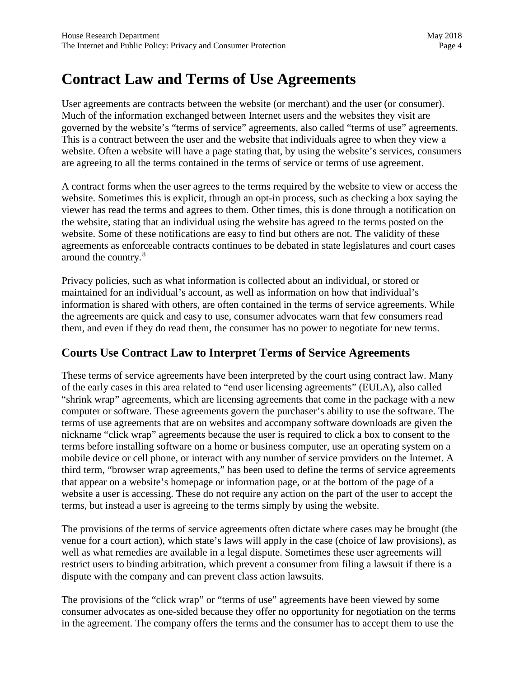## **Contract Law and Terms of Use Agreements**

User agreements are contracts between the website (or merchant) and the user (or consumer). Much of the information exchanged between Internet users and the websites they visit are governed by the website's "terms of service" agreements, also called "terms of use" agreements. This is a contract between the user and the website that individuals agree to when they view a website. Often a website will have a page stating that, by using the website's services, consumers are agreeing to all the terms contained in the terms of service or terms of use agreement.

A contract forms when the user agrees to the terms required by the website to view or access the website. Sometimes this is explicit, through an opt-in process, such as checking a box saying the viewer has read the terms and agrees to them. Other times, this is done through a notification on the website, stating that an individual using the website has agreed to the terms posted on the website. Some of these notifications are easy to find but others are not. The validity of these agreements as enforceable contracts continues to be debated in state legislatures and court cases around the country.<sup>[8](#page-21-2)</sup>

Privacy policies, such as what information is collected about an individual, or stored or maintained for an individual's account, as well as information on how that individual's information is shared with others, are often contained in the terms of service agreements. While the agreements are quick and easy to use, consumer advocates warn that few consumers read them, and even if they do read them, the consumer has no power to negotiate for new terms.

#### **Courts Use Contract Law to Interpret Terms of Service Agreements**

These terms of service agreements have been interpreted by the court using contract law. Many of the early cases in this area related to "end user licensing agreements" (EULA), also called "shrink wrap" agreements, which are licensing agreements that come in the package with a new computer or software. These agreements govern the purchaser's ability to use the software. The terms of use agreements that are on websites and accompany software downloads are given the nickname "click wrap" agreements because the user is required to click a box to consent to the terms before installing software on a home or business computer, use an operating system on a mobile device or cell phone, or interact with any number of service providers on the Internet. A third term, "browser wrap agreements," has been used to define the terms of service agreements that appear on a website's homepage or information page, or at the bottom of the page of a website a user is accessing. These do not require any action on the part of the user to accept the terms, but instead a user is agreeing to the terms simply by using the website.

The provisions of the terms of service agreements often dictate where cases may be brought (the venue for a court action), which state's laws will apply in the case (choice of law provisions), as well as what remedies are available in a legal dispute. Sometimes these user agreements will restrict users to binding arbitration, which prevent a consumer from filing a lawsuit if there is a dispute with the company and can prevent class action lawsuits.

The provisions of the "click wrap" or "terms of use" agreements have been viewed by some consumer advocates as one-sided because they offer no opportunity for negotiation on the terms in the agreement. The company offers the terms and the consumer has to accept them to use the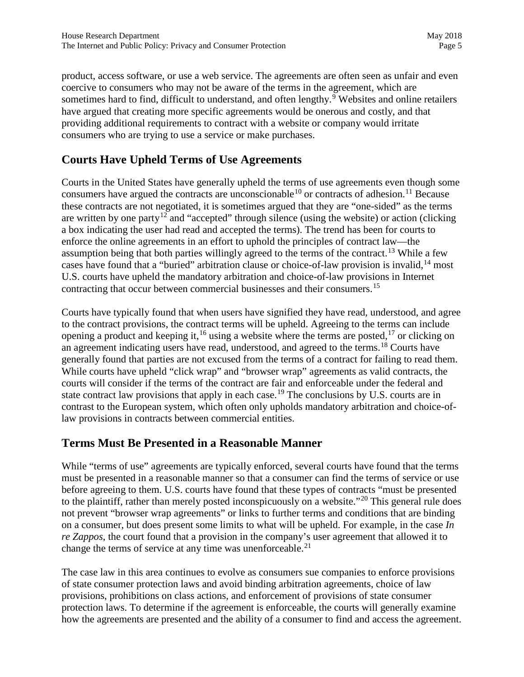product, access software, or use a web service. The agreements are often seen as unfair and even coercive to consumers who may not be aware of the terms in the agreement, which are sometimes hard to find, difficult to understand, and often lengthy. $9$  Websites and online retailers have argued that creating more specific agreements would be onerous and costly, and that providing additional requirements to contract with a website or company would irritate consumers who are trying to use a service or make purchases.

### **Courts Have Upheld Terms of Use Agreements**

Courts in the United States have generally upheld the terms of use agreements even though some consumers have argued the contracts are unconscionable<sup>10</sup> or contracts of adhesion.<sup>[11](#page-22-2)</sup> Because these contracts are not negotiated, it is sometimes argued that they are "one-sided" as the terms are written by one party<sup>[12](#page-22-3)</sup> and "accepted" through silence (using the website) or action (clicking a box indicating the user had read and accepted the terms). The trend has been for courts to enforce the online agreements in an effort to uphold the principles of contract law—the assumption being that both parties willingly agreed to the terms of the contract.<sup>[13](#page-22-4)</sup> While a few cases have found that a "buried" arbitration clause or choice-of-law provision is invalid,  $14 \text{ most}$  $14 \text{ most}$ U.S. courts have upheld the mandatory arbitration and choice-of-law provisions in Internet contracting that occur between commercial businesses and their consumers.<sup>[15](#page-22-6)</sup>

Courts have typically found that when users have signified they have read, understood, and agree to the contract provisions, the contract terms will be upheld. Agreeing to the terms can include opening a product and keeping it, <sup>[16](#page-22-7)</sup> using a website where the terms are posted, <sup>17</sup> or clicking on an agreement indicating users have read, understood, and agreed to the terms.<sup>[18](#page-22-9)</sup> Courts have generally found that parties are not excused from the terms of a contract for failing to read them. While courts have upheld "click wrap" and "browser wrap" agreements as valid contracts, the courts will consider if the terms of the contract are fair and enforceable under the federal and state contract law provisions that apply in each case.<sup>[19](#page-22-10)</sup> The conclusions by U.S. courts are in contrast to the European system, which often only upholds mandatory arbitration and choice-oflaw provisions in contracts between commercial entities.

#### **Terms Must Be Presented in a Reasonable Manner**

While "terms of use" agreements are typically enforced, several courts have found that the terms must be presented in a reasonable manner so that a consumer can find the terms of service or use before agreeing to them. U.S. courts have found that these types of contracts "must be presented to the plaintiff, rather than merely posted inconspicuously on a website."<sup>[20](#page-22-11)</sup> This general rule does not prevent "browser wrap agreements" or links to further terms and conditions that are binding on a consumer, but does present some limits to what will be upheld. For example, in the case *In re Zappos*, the court found that a provision in the company's user agreement that allowed it to change the terms of service at any time was unenforceable. $21$ 

The case law in this area continues to evolve as consumers sue companies to enforce provisions of state consumer protection laws and avoid binding arbitration agreements, choice of law provisions, prohibitions on class actions, and enforcement of provisions of state consumer protection laws. To determine if the agreement is enforceable, the courts will generally examine how the agreements are presented and the ability of a consumer to find and access the agreement.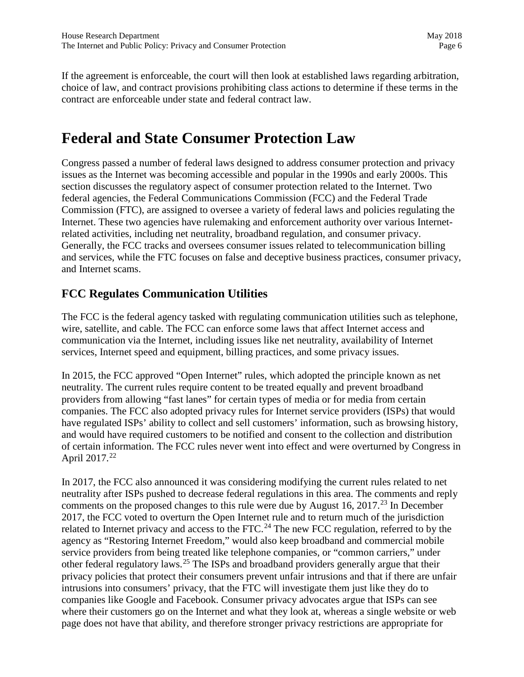If the agreement is enforceable, the court will then look at established laws regarding arbitration, choice of law, and contract provisions prohibiting class actions to determine if these terms in the contract are enforceable under state and federal contract law.

## **Federal and State Consumer Protection Law**

Congress passed a number of federal laws designed to address consumer protection and privacy issues as the Internet was becoming accessible and popular in the 1990s and early 2000s. This section discusses the regulatory aspect of consumer protection related to the Internet. Two federal agencies, the Federal Communications Commission (FCC) and the Federal Trade Commission (FTC), are assigned to oversee a variety of federal laws and policies regulating the Internet. These two agencies have rulemaking and enforcement authority over various Internetrelated activities, including net neutrality, broadband regulation, and consumer privacy. Generally, the FCC tracks and oversees consumer issues related to telecommunication billing and services, while the FTC focuses on false and deceptive business practices, consumer privacy, and Internet scams.

### **FCC Regulates Communication Utilities**

The FCC is the federal agency tasked with regulating communication utilities such as telephone, wire, satellite, and cable. The FCC can enforce some laws that affect Internet access and communication via the Internet, including issues like net neutrality, availability of Internet services, Internet speed and equipment, billing practices, and some privacy issues.

In 2015, the FCC approved "Open Internet" rules, which adopted the principle known as net neutrality. The current rules require content to be treated equally and prevent broadband providers from allowing "fast lanes" for certain types of media or for media from certain companies. The FCC also adopted privacy rules for Internet service providers (ISPs) that would have regulated ISPs' ability to collect and sell customers' information, such as browsing history, and would have required customers to be notified and consent to the collection and distribution of certain information. The FCC rules never went into effect and were overturned by Congress in April 2017.<sup>22</sup>

In 2017, the FCC also announced it was considering modifying the current rules related to net neutrality after ISPs pushed to decrease federal regulations in this area. The comments and reply comments on the proposed changes to this rule were due by August 16, 2017.<sup>[23](#page-23-1)</sup> In December 2017, the FCC voted to overturn the Open Internet rule and to return much of the jurisdiction related to Internet privacy and access to the FTC.<sup>24</sup> The new FCC regulation, referred to by the agency as "Restoring Internet Freedom," would also keep broadband and commercial mobile service providers from being treated like telephone companies, or "common carriers," under other federal regulatory laws.[25](#page-23-3) The ISPs and broadband providers generally argue that their privacy policies that protect their consumers prevent unfair intrusions and that if there are unfair intrusions into consumers' privacy, that the FTC will investigate them just like they do to companies like Google and Facebook. Consumer privacy advocates argue that ISPs can see where their customers go on the Internet and what they look at, whereas a single website or web page does not have that ability, and therefore stronger privacy restrictions are appropriate for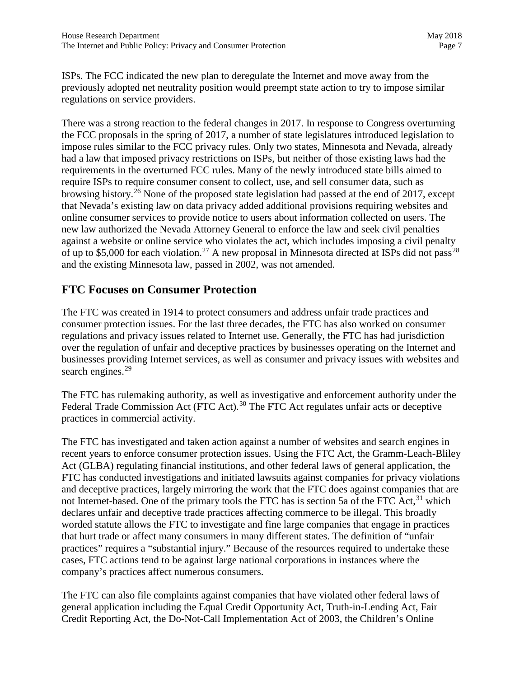ISPs. The FCC indicated the new plan to deregulate the Internet and move away from the previously adopted net neutrality position would preempt state action to try to impose similar regulations on service providers.

There was a strong reaction to the federal changes in 2017. In response to Congress overturning the FCC proposals in the spring of 2017, a number of state legislatures introduced legislation to impose rules similar to the FCC privacy rules. Only two states, Minnesota and Nevada, already had a law that imposed privacy restrictions on ISPs, but neither of those existing laws had the requirements in the overturned FCC rules. Many of the newly introduced state bills aimed to require ISPs to require consumer consent to collect, use, and sell consumer data, such as browsing history.[26](#page-24-0) None of the proposed state legislation had passed at the end of 2017, except that Nevada's existing law on data privacy added additional provisions requiring websites and online consumer services to provide notice to users about information collected on users. The new law authorized the Nevada Attorney General to enforce the law and seek civil penalties against a website or online service who violates the act, which includes imposing a civil penalty of up to \$5,000 for each violation.<sup>27</sup> A new proposal in Minnesota directed at ISPs did not pass<sup>[28](#page-24-2)</sup> and the existing Minnesota law, passed in 2002, was not amended.

#### **FTC Focuses on Consumer Protection**

The FTC was created in 1914 to protect consumers and address unfair trade practices and consumer protection issues. For the last three decades, the FTC has also worked on consumer regulations and privacy issues related to Internet use. Generally, the FTC has had jurisdiction over the regulation of unfair and deceptive practices by businesses operating on the Internet and businesses providing Internet services, as well as consumer and privacy issues with websites and search engines.<sup>[29](#page-24-3)</sup>

The FTC has rulemaking authority, as well as investigative and enforcement authority under the Federal Trade Commission Act (FTC Act).<sup>[30](#page-24-4)</sup> The FTC Act regulates unfair acts or deceptive practices in commercial activity.

The FTC has investigated and taken action against a number of websites and search engines in recent years to enforce consumer protection issues. Using the FTC Act, the Gramm-Leach-Bliley Act (GLBA) regulating financial institutions, and other federal laws of general application, the FTC has conducted investigations and initiated lawsuits against companies for privacy violations and deceptive practices, largely mirroring the work that the FTC does against companies that are not Internet-based. One of the primary tools the FTC has is section 5a of the FTC Act,<sup>31</sup> which declares unfair and deceptive trade practices affecting commerce to be illegal. This broadly worded statute allows the FTC to investigate and fine large companies that engage in practices that hurt trade or affect many consumers in many different states. The definition of "unfair practices" requires a "substantial injury." Because of the resources required to undertake these cases, FTC actions tend to be against large national corporations in instances where the company's practices affect numerous consumers.

The FTC can also file complaints against companies that have violated other federal laws of general application including the Equal Credit Opportunity Act, Truth-in-Lending Act, Fair Credit Reporting Act, the Do-Not-Call Implementation Act of 2003, the Children's Online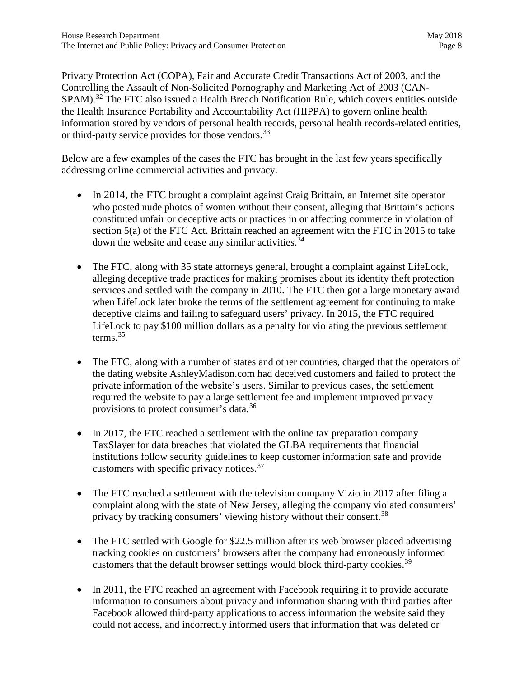Privacy Protection Act (COPA), Fair and Accurate Credit Transactions Act of 2003, and the Controlling the Assault of Non-Solicited Pornography and Marketing Act of 2003 (CAN-SPAM).<sup>[32](#page-25-0)</sup> The FTC also issued a Health Breach Notification Rule, which covers entities outside the Health Insurance Portability and Accountability Act (HIPPA) to govern online health information stored by vendors of personal health records, personal health records-related entities, or third-party service provides for those vendors.<sup>33</sup>

Below are a few examples of the cases the FTC has brought in the last few years specifically addressing online commercial activities and privacy.

- In 2014, the FTC brought a complaint against Craig Brittain, an Internet site operator who posted nude photos of women without their consent, alleging that Brittain's actions constituted unfair or deceptive acts or practices in or affecting commerce in violation of section 5(a) of the FTC Act. Brittain reached an agreement with the FTC in 2015 to take down the website and cease any similar activities.<sup>[34](#page-25-2)</sup>
- The FTC, along with 35 state attorneys general, brought a complaint against LifeLock, alleging deceptive trade practices for making promises about its identity theft protection services and settled with the company in 2010. The FTC then got a large monetary award when LifeLock later broke the terms of the settlement agreement for continuing to make deceptive claims and failing to safeguard users' privacy. In 2015, the FTC required LifeLock to pay \$100 million dollars as a penalty for violating the previous settlement terms. $35$
- The FTC, along with a number of states and other countries, charged that the operators of the dating website AshleyMadison.com had deceived customers and failed to protect the private information of the website's users. Similar to previous cases, the settlement required the website to pay a large settlement fee and implement improved privacy provisions to protect consumer's data.[36](#page-25-4)
- In 2017, the FTC reached a settlement with the online tax preparation company TaxSlayer for data breaches that violated the GLBA requirements that financial institutions follow security guidelines to keep customer information safe and provide customers with specific privacy notices. $37$
- The FTC reached a settlement with the television company Vizio in 2017 after filing a complaint along with the state of New Jersey, alleging the company violated consumers' privacy by tracking consumers' viewing history without their consent.<sup>[38](#page-25-6)</sup>
- The FTC settled with Google for \$22.5 million after its web browser placed advertising tracking cookies on customers' browsers after the company had erroneously informed customers that the default browser settings would block third-party cookies.<sup>[39](#page-25-7)</sup>
- In 2011, the FTC reached an agreement with Facebook requiring it to provide accurate information to consumers about privacy and information sharing with third parties after Facebook allowed third-party applications to access information the website said they could not access, and incorrectly informed users that information that was deleted or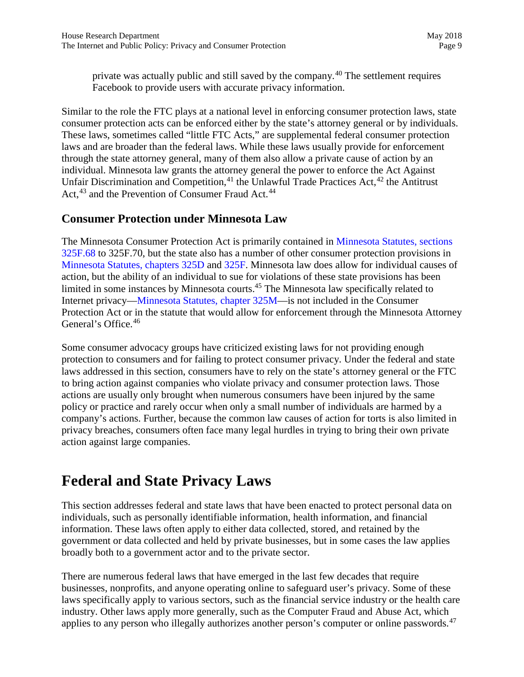private was actually public and still saved by the company.<sup>[40](#page-26-0)</sup> The settlement requires Facebook to provide users with accurate privacy information.

Similar to the role the FTC plays at a national level in enforcing consumer protection laws, state consumer protection acts can be enforced either by the state's attorney general or by individuals. These laws, sometimes called "little FTC Acts," are supplemental federal consumer protection laws and are broader than the federal laws. While these laws usually provide for enforcement through the state attorney general, many of them also allow a private cause of action by an individual. Minnesota law grants the attorney general the power to enforce the Act Against Unfair Discrimination and Competition,  $41$  the Unlawful Trade Practices Act,  $42$  the Antitrust Act,<sup>[43](#page-26-3)</sup> and the Prevention of Consumer Fraud Act.<sup>[44](#page-26-4)</sup>

#### **Consumer Protection under Minnesota Law**

The Minnesota Consumer Protection Act is primarily contained in [Minnesota Statutes, sections](https://www.revisor.mn.gov/statutes/?id=325F.68)  [325F.68](https://www.revisor.mn.gov/statutes/?id=325F.68) to 325F.70, but the state also has a number of other consumer protection provisions in [Minnesota Statutes, chapters 325D](https://www.revisor.mn.gov/statutes/?id=325D) and [325F.](https://www.revisor.mn.gov/statutes/?id=325F) Minnesota law does allow for individual causes of action, but the ability of an individual to sue for violations of these state provisions has been limited in some instances by Minnesota courts.<sup>[45](#page-26-5)</sup> The Minnesota law specifically related to Internet privacy[—Minnesota Statutes, chapter](https://www.revisor.mn.gov/statutes/?id=325M) 325M—is not included in the Consumer Protection Act or in the statute that would allow for enforcement through the Minnesota Attorney General's Office.<sup>[46](#page-26-6)</sup>

Some consumer advocacy groups have criticized existing laws for not providing enough protection to consumers and for failing to protect consumer privacy. Under the federal and state laws addressed in this section, consumers have to rely on the state's attorney general or the FTC to bring action against companies who violate privacy and consumer protection laws. Those actions are usually only brought when numerous consumers have been injured by the same policy or practice and rarely occur when only a small number of individuals are harmed by a company's actions. Further, because the common law causes of action for torts is also limited in privacy breaches, consumers often face many legal hurdles in trying to bring their own private action against large companies.

## **Federal and State Privacy Laws**

This section addresses federal and state laws that have been enacted to protect personal data on individuals, such as personally identifiable information, health information, and financial information. These laws often apply to either data collected, stored, and retained by the government or data collected and held by private businesses, but in some cases the law applies broadly both to a government actor and to the private sector.

There are numerous federal laws that have emerged in the last few decades that require businesses, nonprofits, and anyone operating online to safeguard user's privacy. Some of these laws specifically apply to various sectors, such as the financial service industry or the health care industry. Other laws apply more generally, such as the Computer Fraud and Abuse Act, which applies to any person who illegally authorizes another person's computer or online passwords. $47$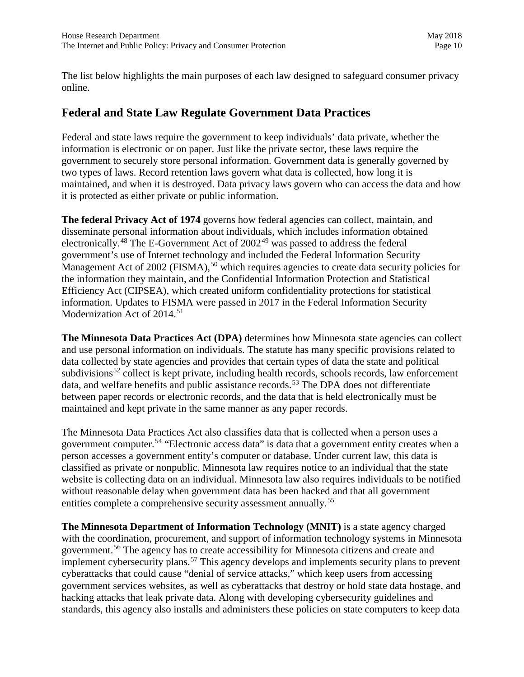The list below highlights the main purposes of each law designed to safeguard consumer privacy online.

#### **Federal and State Law Regulate Government Data Practices**

Federal and state laws require the government to keep individuals' data private, whether the information is electronic or on paper. Just like the private sector, these laws require the government to securely store personal information. Government data is generally governed by two types of laws. Record retention laws govern what data is collected, how long it is maintained, and when it is destroyed. Data privacy laws govern who can access the data and how it is protected as either private or public information.

**The federal Privacy Act of 1974** governs how federal agencies can collect, maintain, and disseminate personal information about individuals, which includes information obtained electronically.<sup>[48](#page-27-0)</sup> The E-Government Act of  $2002^{49}$  $2002^{49}$  $2002^{49}$  was passed to address the federal government's use of Internet technology and included the Federal Information Security Management Act of 2002 (FISMA),<sup>[50](#page-27-2)</sup> which requires agencies to create data security policies for the information they maintain, and the Confidential Information Protection and Statistical Efficiency Act (CIPSEA), which created uniform confidentiality protections for statistical information. Updates to FISMA were passed in 2017 in the [Federal Information Security](https://www.congress.gov/bill/113th-congress/senate-bill/2521)  [Modernization Act of 2014.](https://www.congress.gov/bill/113th-congress/senate-bill/2521)<sup>[51](#page-27-3)</sup>

**The Minnesota Data Practices Act (DPA)** determines how Minnesota state agencies can collect and use personal information on individuals. The statute has many specific provisions related to data collected by state agencies and provides that certain types of data the state and political subdivisions<sup>[52](#page-27-4)</sup> collect is kept private, including health records, schools records, law enforcement data, and welfare benefits and public assistance records.<sup>53</sup> The DPA does not differentiate between paper records or electronic records, and the data that is held electronically must be maintained and kept private in the same manner as any paper records.

The Minnesota Data Practices Act also classifies data that is collected when a person uses a government computer.[54](#page-27-6) "Electronic access data" is data that a government entity creates when a person accesses a government entity's computer or database. Under current law, this data is classified as private or nonpublic. Minnesota law requires notice to an individual that the state website is collecting data on an individual. Minnesota law also requires individuals to be notified without reasonable delay when government data has been hacked and that all government entities complete a comprehensive security assessment annually.[55](#page-27-7) 

**The Minnesota Department of Information Technology (MNIT)** is a state agency charged with the coordination, procurement, and support of information technology systems in Minnesota government.[56](#page-27-8) The agency has to create accessibility for Minnesota citizens and create and implement cybersecurity plans.<sup>57</sup> This agency develops and implements security plans to prevent cyberattacks that could cause "denial of service attacks," which keep users from accessing government services websites, as well as cyberattacks that destroy or hold state data hostage, and hacking attacks that leak private data. Along with developing cybersecurity guidelines and standards, this agency also installs and administers these policies on state computers to keep data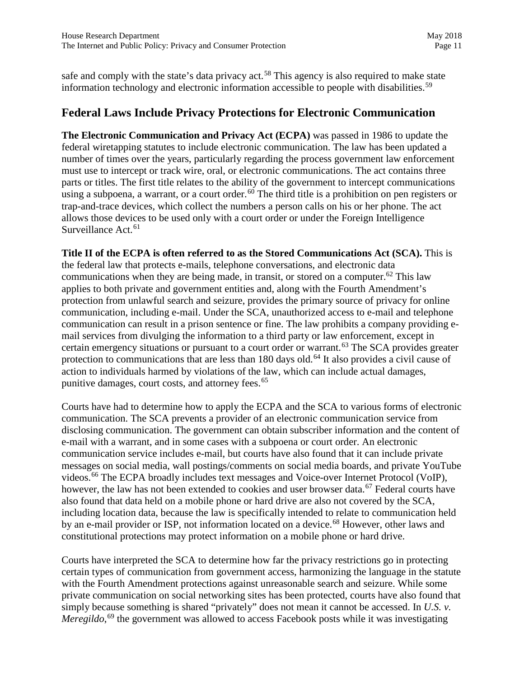safe and comply with the state's data privacy act.<sup>[58](#page-27-10)</sup> This agency is also required to make state information technology and electronic information accessible to people with disabilities.<sup>[59](#page-27-11)</sup>

#### **Federal Laws Include Privacy Protections for Electronic Communication**

**The Electronic Communication and Privacy Act (ECPA)** was passed in 1986 to update the federal wiretapping statutes to include electronic communication. The law has been updated a number of times over the years, particularly regarding the process government law enforcement must use to intercept or track wire, oral, or electronic communications. The act contains three parts or titles. The first title relates to the ability of the government to intercept communications using a subpoena, a warrant, or a court order.<sup>60</sup> The third title is a prohibition on pen registers or trap-and-trace devices, which collect the numbers a person calls on his or her phone. The act allows those devices to be used only with a court order or under the Foreign Intelligence Surveillance Act.<sup>[61](#page-27-13)</sup>

**Title II of the ECPA is often referred to as the Stored Communications Act (SCA).** This is the federal law that protects e-mails, telephone conversations, and electronic data communications when they are being made, in transit, or stored on a computer.<sup>[62](#page-27-14)</sup> This law applies to both private and government entities and, along with the Fourth Amendment's protection from unlawful search and seizure, provides the primary source of privacy for online communication, including e-mail. Under the SCA, unauthorized access to e-mail and telephone communication can result in a prison sentence or fine. The law prohibits a company providing email services from divulging the information to a third party or law enforcement, except in certain emergency situations or pursuant to a court order or warrant.<sup>[63](#page-27-15)</sup> The SCA provides greater protection to communications that are less than 180 days old.<sup>[64](#page-27-16)</sup> It also provides a civil cause of action to individuals harmed by violations of the law, which can include actual damages, punitive damages, court costs, and attorney fees.<sup>[65](#page-27-17)</sup>

Courts have had to determine how to apply the ECPA and the SCA to various forms of electronic communication. The SCA prevents a provider of an electronic communication service from disclosing communication. The government can obtain subscriber information and the content of e-mail with a warrant, and in some cases with a subpoena or court order. An electronic communication service includes e-mail, but courts have also found that it can include private messages on social media, wall postings/comments on social media boards, and private YouTube videos.[66](#page-27-18) The ECPA broadly includes text messages and Voice-over Internet Protocol (VoIP), however, the law has not been extended to cookies and user browser data.<sup>[67](#page-27-19)</sup> Federal courts have also found that data held on a mobile phone or hard drive are also not covered by the SCA, including location data, because the law is specifically intended to relate to communication held by an e-mail provider or ISP, not information located on a device.<sup>68</sup> However, other laws and constitutional protections may protect information on a mobile phone or hard drive.

Courts have interpreted the SCA to determine how far the privacy restrictions go in protecting certain types of communication from government access, harmonizing the language in the statute with the Fourth Amendment protections against unreasonable search and seizure. While some private communication on social networking sites has been protected, courts have also found that simply because something is shared "privately" does not mean it cannot be accessed. In *U.S. v.*  Meregildo,<sup>[69](#page-27-21)</sup> the government was allowed to access Facebook posts while it was investigating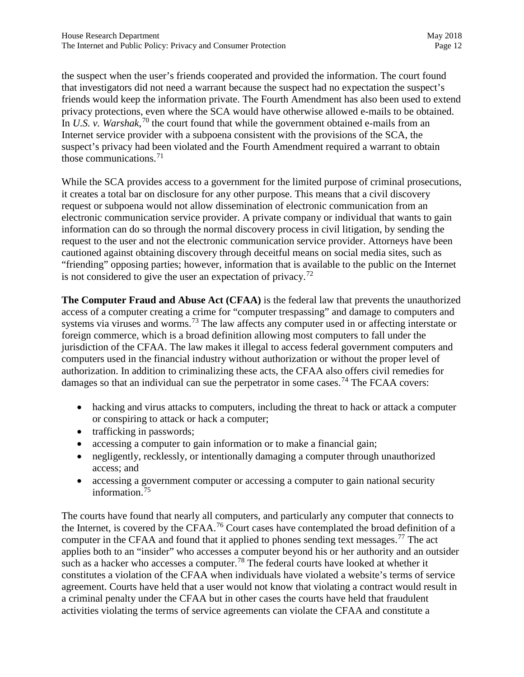the suspect when the user's friends cooperated and provided the information. The court found that investigators did not need a warrant because the suspect had no expectation the suspect's friends would keep the information private. The Fourth Amendment has also been used to extend privacy protections, even where the SCA would have otherwise allowed e-mails to be obtained. In *U.S. v. Warshak*,<sup>[70](#page-27-22)</sup> the court found that while the government obtained e-mails from an Internet service provider with a subpoena consistent with the provisions of the SCA, the suspect's privacy had been violated and the Fourth Amendment required a warrant to obtain those communications.<sup>[71](#page-27-23)</sup>

While the SCA provides access to a government for the limited purpose of criminal prosecutions, it creates a total bar on disclosure for any other purpose. This means that a civil discovery request or subpoena would not allow dissemination of electronic communication from an electronic communication service provider. A private company or individual that wants to gain information can do so through the normal discovery process in civil litigation, by sending the request to the user and not the electronic communication service provider. Attorneys have been cautioned against obtaining discovery through deceitful means on social media sites, such as "friending" opposing parties; however, information that is available to the public on the Internet is not considered to give the user an expectation of privacy.<sup>[72](#page-27-24)</sup>

**The Computer Fraud and Abuse Act (CFAA)** is the federal law that prevents the unauthorized access of a computer creating a crime for "computer trespassing" and damage to computers and systems via viruses and worms.<sup>[73](#page-27-25)</sup> The law affects any computer used in or affecting interstate or foreign commerce, which is a broad definition allowing most computers to fall under the jurisdiction of the CFAA. The law makes it illegal to access federal government computers and computers used in the financial industry without authorization or without the proper level of authorization. In addition to criminalizing these acts, the CFAA also offers civil remedies for damages so that an individual can sue the perpetrator in some cases.<sup>[74](#page-27-26)</sup> The FCAA covers:

- hacking and virus attacks to computers, including the threat to hack or attack a computer or conspiring to attack or hack a computer;
- trafficking in passwords;
- accessing a computer to gain information or to make a financial gain;
- negligently, recklessly, or intentionally damaging a computer through unauthorized access; and
- accessing a government computer or accessing a computer to gain national security information.[75](#page-27-27)

The courts have found that nearly all computers, and particularly any computer that connects to the Internet, is covered by the CFAA.<sup>[76](#page-27-28)</sup> Court cases have contemplated the broad definition of a computer in the CFAA and found that it applied to phones sending text messages.<sup>[77](#page-27-29)</sup> The act applies both to an "insider" who accesses a computer beyond his or her authority and an outsider such as a hacker who accesses a computer.<sup>78</sup> The federal courts have looked at whether it constitutes a violation of the CFAA when individuals have violated a website's terms of service agreement. Courts have held that a user would not know that violating a contract would result in a criminal penalty under the CFAA but in other cases the courts have held that fraudulent activities violating the terms of service agreements can violate the CFAA and constitute a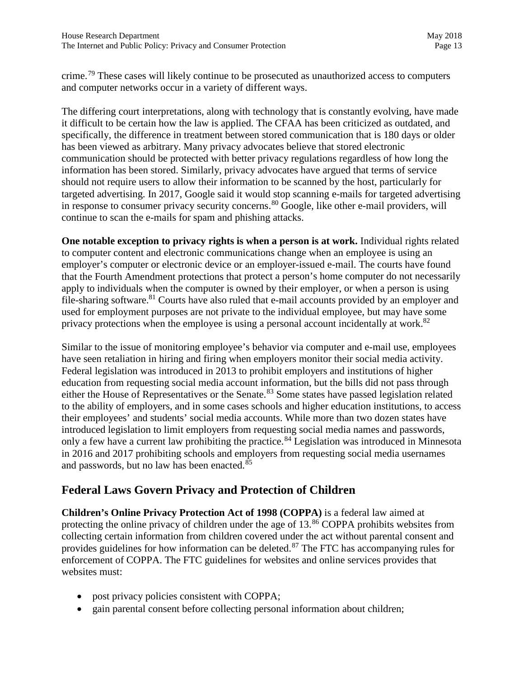crime.[79](#page-27-31) These cases will likely continue to be prosecuted as unauthorized access to computers and computer networks occur in a variety of different ways.

The differing court interpretations, along with technology that is constantly evolving, have made it difficult to be certain how the law is applied. The CFAA has been criticized as outdated, and specifically, the difference in treatment between stored communication that is 180 days or older has been viewed as arbitrary. Many privacy advocates believe that stored electronic communication should be protected with better privacy regulations regardless of how long the information has been stored. Similarly, privacy advocates have argued that terms of service should not require users to allow their information to be scanned by the host, particularly for targeted advertising. In 2017, Google said it would stop scanning e-mails for targeted advertising in response to consumer privacy security concerns.<sup>80</sup> Google, like other e-mail providers, will continue to scan the e-mails for spam and phishing attacks.

**One notable exception to privacy rights is when a person is at work.** Individual rights related to computer content and electronic communications change when an employee is using an employer's computer or electronic device or an employer-issued e-mail. The courts have found that the Fourth Amendment protections that protect a person's home computer do not necessarily apply to individuals when the computer is owned by their employer, or when a person is using file-sharing software.<sup>[81](#page-27-33)</sup> Courts have also ruled that e-mail accounts provided by an employer and used for employment purposes are not private to the individual employee, but may have some privacy protections when the employee is using a personal account incidentally at work.<sup>[82](#page-27-34)</sup>

Similar to the issue of monitoring employee's behavior via computer and e-mail use, employees have seen retaliation in hiring and firing when employers monitor their social media activity. Federal legislation was introduced in 2013 to prohibit employers and institutions of higher education from requesting social media account information, but the bills did not pass through either the House of Representatives or the Senate.<sup>[83](#page-27-35)</sup> Some states have passed legislation related to the ability of employers, and in some cases schools and higher education institutions, to access their employees' and students' social media accounts. While more than two dozen states have introduced legislation to limit employers from requesting social media names and passwords, only a few have a current law prohibiting the practice.<sup>84</sup> Legislation was introduced in Minnesota in 2016 and 2017 prohibiting schools and employers from requesting social media usernames and passwords, but no law has been enacted.<sup>[85](#page-27-37)</sup>

### **Federal Laws Govern Privacy and Protection of Children**

**Children's Online Privacy Protection Act of 1998 (COPPA)** is a federal law aimed at protecting the online privacy of children under the age of  $13.^86$  COPPA prohibits websites from collecting certain information from children covered under the act without parental consent and provides guidelines for how information can be deleted.<sup>[87](#page-27-39)</sup> The FTC has accompanying rules for enforcement of COPPA. The FTC guidelines for websites and online services provides that websites must:

- post privacy policies consistent with COPPA;
- gain parental consent before collecting personal information about children;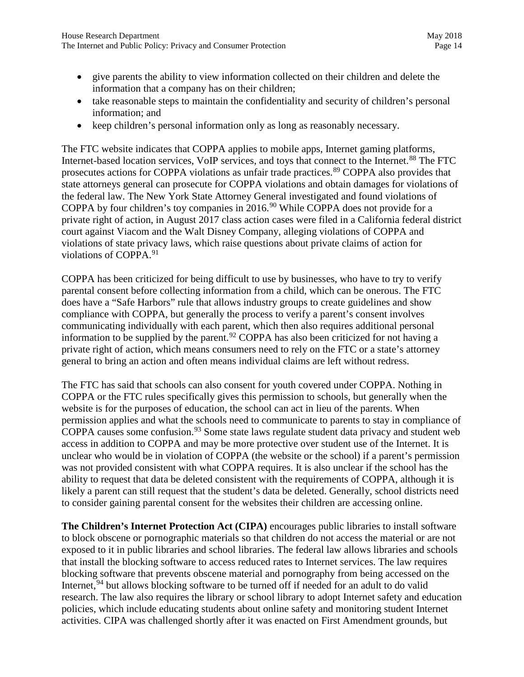- give parents the ability to view information collected on their children and delete the information that a company has on their children;
- take reasonable steps to maintain the confidentiality and security of children's personal information; and
- keep children's personal information only as long as reasonably necessary.

The FTC website indicates that COPPA applies to mobile apps, Internet gaming platforms, Internet-based location services, VoIP services, and toys that connect to the Internet.<sup>[88](#page-27-40)</sup> The FTC prosecutes actions for COPPA violations as unfair trade practices.<sup>89</sup> COPPA also provides that state attorneys general can prosecute for COPPA violations and obtain damages for violations of the federal law. The New York State Attorney General investigated and found violations of COPPA by four children's toy companies in 2016.<sup>[90](#page-27-42)</sup> While COPPA does not provide for a private right of action, in August 2017 class action cases were filed in a California federal district court against Viacom and the Walt Disney Company, alleging violations of COPPA and violations of state privacy laws, which raise questions about private claims of action for violations of COPPA.[91](#page-27-43) 

COPPA has been criticized for being difficult to use by businesses, who have to try to verify parental consent before collecting information from a child, which can be onerous. The FTC does have a "Safe Harbors" rule that allows industry groups to create guidelines and show compliance with COPPA, but generally the process to verify a parent's consent involves communicating individually with each parent, which then also requires additional personal information to be supplied by the parent.<sup>[92](#page-27-44)</sup> COPPA has also been criticized for not having a private right of action, which means consumers need to rely on the FTC or a state's attorney general to bring an action and often means individual claims are left without redress.

The FTC has said that schools can also consent for youth covered under COPPA. Nothing in COPPA or the FTC rules specifically gives this permission to schools, but generally when the website is for the purposes of education, the school can act in lieu of the parents. When permission applies and what the schools need to communicate to parents to stay in compliance of COPPA causes some confusion.<sup>[93](#page-27-45)</sup> Some state laws regulate student data privacy and student web access in addition to COPPA and may be more protective over student use of the Internet. It is unclear who would be in violation of COPPA (the website or the school) if a parent's permission was not provided consistent with what COPPA requires. It is also unclear if the school has the ability to request that data be deleted consistent with the requirements of COPPA, although it is likely a parent can still request that the student's data be deleted. Generally, school districts need to consider gaining parental consent for the websites their children are accessing online.

**The Children's Internet Protection Act (CIPA)** encourages public libraries to install software to block obscene or pornographic materials so that children do not access the material or are not exposed to it in public libraries and school libraries. The federal law allows libraries and schools that install the blocking software to access reduced rates to Internet services. The law requires blocking software that prevents obscene material and pornography from being accessed on the Internet,<sup>94</sup> but allows blocking software to be turned off if needed for an adult to do valid research. The law also requires the library or school library to adopt Internet safety and education policies, which include educating students about online safety and monitoring student Internet activities. CIPA was challenged shortly after it was enacted on First Amendment grounds, but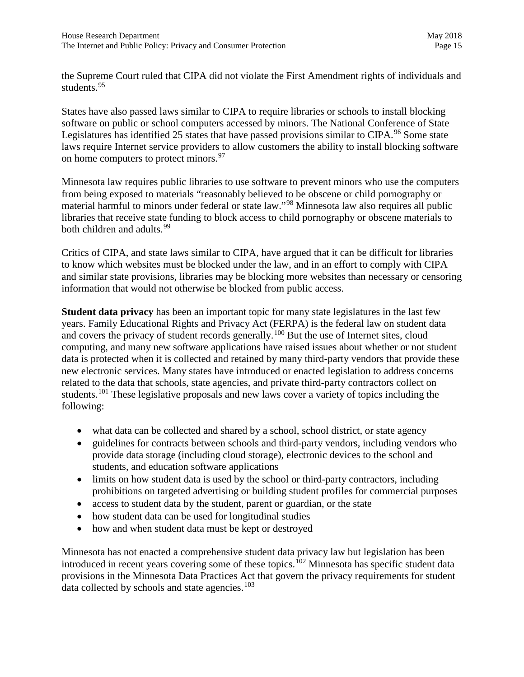the Supreme Court ruled that CIPA did not violate the First Amendment rights of individuals and students.[95](#page-27-47)

States have also passed laws similar to CIPA to require libraries or schools to install blocking software on public or school computers accessed by minors. The National Conference of State Legislatures has identified 25 states that have passed provisions similar to CIPA.<sup>[96](#page-27-15)</sup> Some state laws require Internet service providers to allow customers the ability to install blocking software on home computers to protect minors.<sup>[97](#page-27-48)</sup>

Minnesota law requires public libraries to use software to prevent minors who use the computers from being exposed to materials "reasonably believed to be obscene or child pornography or material harmful to minors under federal or state law."[98](#page-27-49) Minnesota law also requires all public libraries that receive state funding to block access to child pornography or obscene materials to both children and adults.<sup>[99](#page-27-50)</sup>

Critics of CIPA, and state laws similar to CIPA, have argued that it can be difficult for libraries to know which websites must be blocked under the law, and in an effort to comply with CIPA and similar state provisions, libraries may be blocking more websites than necessary or censoring information that would not otherwise be blocked from public access.

**Student data privacy** has been an important topic for many state legislatures in the last few years. Family Educational Rights and Privacy Act (FERPA) is the federal law on student data and covers the privacy of student records generally.<sup>100</sup> But the use of Internet sites, cloud computing, and many new software applications have raised issues about whether or not student data is protected when it is collected and retained by many third-party vendors that provide these new electronic services. Many states have introduced or enacted legislation to address concerns related to the data that schools, state agencies, and private third-party contractors collect on students.<sup>[101](#page-27-52)</sup> These legislative proposals and new laws cover a variety of topics including the following:

- what data can be collected and shared by a school, school district, or state agency
- guidelines for contracts between schools and third-party vendors, including vendors who provide data storage (including cloud storage), electronic devices to the school and students, and education software applications
- limits on how student data is used by the school or third-party contractors, including prohibitions on targeted advertising or building student profiles for commercial purposes
- access to student data by the student, parent or guardian, or the state
- how student data can be used for longitudinal studies
- how and when student data must be kept or destroyed

Minnesota has not enacted a comprehensive student data privacy law but legislation has been introduced in recent years covering some of these topics.<sup>[102](#page-27-53)</sup> Minnesota has specific student data provisions in the Minnesota Data Practices Act that govern the privacy requirements for student data collected by schools and state agencies.<sup>103</sup>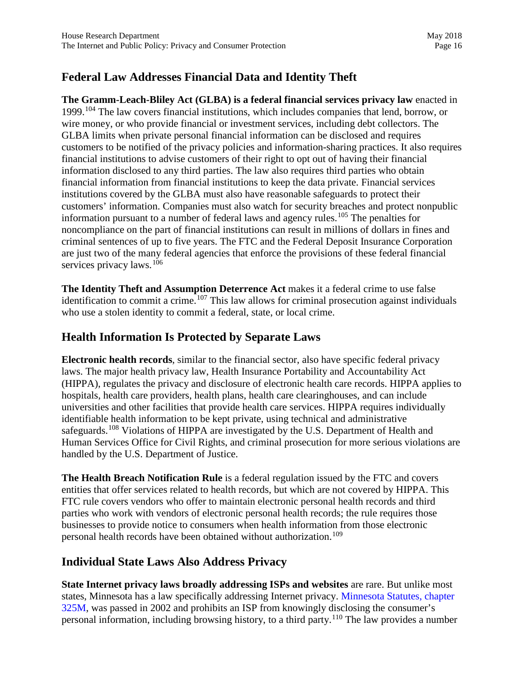### **Federal Law Addresses Financial Data and Identity Theft**

**The Gramm-Leach-Bliley Act (GLBA) is a federal financial services privacy law** enacted in 1999.[104](#page-27-55) The law covers financial institutions, which includes companies that lend, borrow, or wire money, or who provide financial or investment services, including debt collectors. The GLBA limits when private personal financial information can be disclosed and requires customers to be notified of the privacy policies and information-sharing practices. It also requires financial institutions to advise customers of their right to opt out of having their financial information disclosed to any third parties. The law also requires third parties who obtain financial information from financial institutions to keep the data private. Financial services institutions covered by the GLBA must also have reasonable safeguards to protect their customers' information. Companies must also watch for security breaches and protect nonpublic information pursuant to a number of federal laws and agency rules.<sup>[105](#page-27-56)</sup> The penalties for noncompliance on the part of financial institutions can result in millions of dollars in fines and criminal sentences of up to five years. The FTC and the Federal Deposit Insurance Corporation are just two of the many federal agencies that enforce the provisions of these federal financial services privacy laws.<sup>[106](#page-27-57)</sup>

**The Identity Theft and Assumption Deterrence Act** makes it a federal crime to use false identification to commit a crime.<sup>[107](#page-27-58)</sup> This law allows for criminal prosecution against individuals who use a stolen identity to commit a federal, state, or local crime.

### **Health Information Is Protected by Separate Laws**

**Electronic health records**, similar to the financial sector, also have specific federal privacy laws. The major health privacy law, Health Insurance Portability and Accountability Act (HIPPA), regulates the privacy and disclosure of electronic health care records. HIPPA applies to hospitals, health care providers, health plans, health care clearinghouses, and can include universities and other facilities that provide health care services. HIPPA requires individually identifiable health information to be kept private, using technical and administrative safeguards.<sup>[108](#page-27-59)</sup> Violations of HIPPA are investigated by the U.S. Department of Health and Human Services Office for Civil Rights, and criminal prosecution for more serious violations are handled by the U.S. Department of Justice.

**The Health Breach Notification Rule** is a federal regulation issued by the FTC and covers entities that offer services related to health records, but which are not covered by HIPPA. This FTC rule covers vendors who offer to maintain electronic personal health records and third parties who work with vendors of electronic personal health records; the rule requires those businesses to provide notice to consumers when health information from those electronic personal health records have been obtained without authorization.<sup>109</sup>

#### **Individual State Laws Also Address Privacy**

**State Internet privacy laws broadly addressing ISPs and websites** are rare. But unlike most states, Minnesota has a law specifically addressing Internet privacy. [Minnesota Statutes, chapter](https://www.revisor.mn.gov/statutes/?id=325M)  [325M,](https://www.revisor.mn.gov/statutes/?id=325M) was passed in 2002 and prohibits an ISP from knowingly disclosing the consumer's personal information, including browsing history, to a third party.[110](#page-27-61) The law provides a number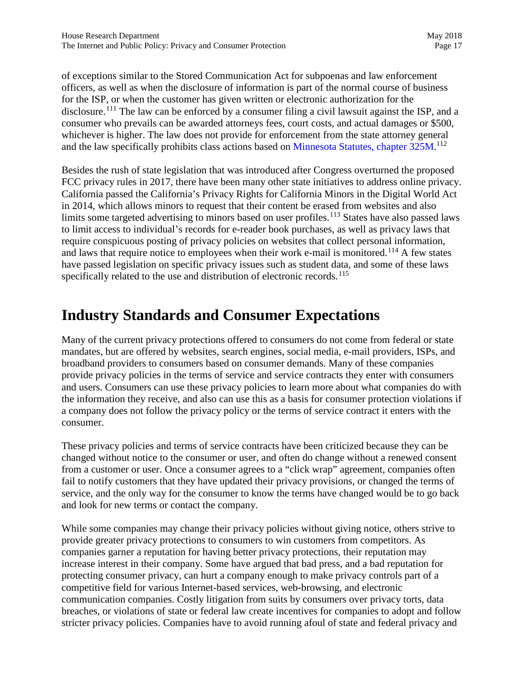of exceptions similar to the Stored Communication Act for subpoenas and law enforcement officers, as well as when the disclosure of information is part of the normal course of business for the ISP, or when the customer has given written or electronic authorization for the disclosure.<sup>[111](#page-27-5)</sup> The law can be enforced by a consumer filing a civil lawsuit against the ISP, and a consumer who prevails can be awarded attorneys fees, court costs, and actual damages or \$500, whichever is higher. The law does not provide for enforcement from the state attorney general and the law specifically prohibits class actions based on [Minnesota Statutes, chapter 325M.](https://www.revisor.mn.gov/statutes/?id=325M)<sup>[112](#page-27-62)</sup>

Besides the rush of state legislation that was introduced after Congress overturned the proposed FCC privacy rules in 2017, there have been many other state initiatives to address online privacy. California passed the California's Privacy Rights for California Minors in the Digital World Act in 2014, which allows minors to request that their content be erased from websites and also limits some targeted advertising to minors based on user profiles.<sup>[113](#page-27-63)</sup> States have also passed laws to limit access to individual's records for e-reader book purchases, as well as privacy laws that require conspicuous posting of privacy policies on websites that collect personal information, and laws that require notice to employees when their work e-mail is monitored.<sup>[114](#page-27-64)</sup> A few states have passed legislation on specific privacy issues such as student data, and some of these laws specifically related to the use and distribution of electronic records.<sup>[115](#page-27-65)</sup>

## **Industry Standards and Consumer Expectations**

Many of the current privacy protections offered to consumers do not come from federal or state mandates, but are offered by websites, search engines, social media, e-mail providers, ISPs, and broadband providers to consumers based on consumer demands. Many of these companies provide privacy policies in the terms of service and service contracts they enter with consumers and users. Consumers can use these privacy policies to learn more about what companies do with the information they receive, and also can use this as a basis for consumer protection violations if a company does not follow the privacy policy or the terms of service contract it enters with the consumer.

These privacy policies and terms of service contracts have been criticized because they can be changed without notice to the consumer or user, and often do change without a renewed consent from a customer or user. Once a consumer agrees to a "click wrap" agreement, companies often fail to notify customers that they have updated their privacy provisions, or changed the terms of service, and the only way for the consumer to know the terms have changed would be to go back and look for new terms or contact the company.

While some companies may change their privacy policies without giving notice, others strive to provide greater privacy protections to consumers to win customers from competitors. As companies garner a reputation for having better privacy protections, their reputation may increase interest in their company. Some have argued that bad press, and a bad reputation for protecting consumer privacy, can hurt a company enough to make privacy controls part of a competitive field for various Internet-based services, web-browsing, and electronic communication companies. Costly litigation from suits by consumers over privacy torts, data breaches, or violations of state or federal law create incentives for companies to adopt and follow stricter privacy policies. Companies have to avoid running afoul of state and federal privacy and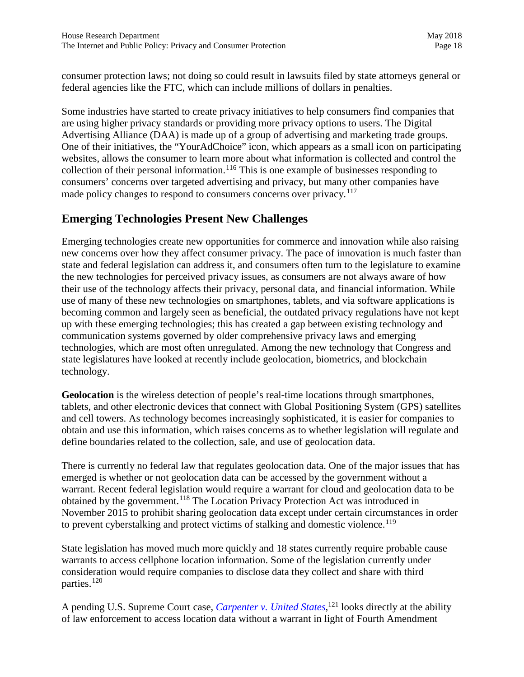consumer protection laws; not doing so could result in lawsuits filed by state attorneys general or federal agencies like the FTC, which can include millions of dollars in penalties.

Some industries have started to create privacy initiatives to help consumers find companies that are using higher privacy standards or providing more privacy options to users. The Digital Advertising Alliance (DAA) is made up of a group of advertising and marketing trade groups. One of their initiatives, the "YourAdChoice" icon, which appears as a small icon on participating websites, allows the consumer to learn more about what information is collected and control the collection of their personal information.<sup>[116](#page-27-66)</sup> This is one example of businesses responding to consumers' concerns over targeted advertising and privacy, but many other companies have made policy changes to respond to consumers concerns over privacy.<sup>[117](#page-27-67)</sup>

#### **Emerging Technologies Present New Challenges**

Emerging technologies create new opportunities for commerce and innovation while also raising new concerns over how they affect consumer privacy. The pace of innovation is much faster than state and federal legislation can address it, and consumers often turn to the legislature to examine the new technologies for perceived privacy issues, as consumers are not always aware of how their use of the technology affects their privacy, personal data, and financial information. While use of many of these new technologies on smartphones, tablets, and via software applications is becoming common and largely seen as beneficial, the outdated privacy regulations have not kept up with these emerging technologies; this has created a gap between existing technology and communication systems governed by older comprehensive privacy laws and emerging technologies, which are most often unregulated. Among the new technology that Congress and state legislatures have looked at recently include geolocation, biometrics, and blockchain technology.

**Geolocation** is the wireless detection of people's real-time locations through smartphones, tablets, and other electronic devices that connect with Global Positioning System (GPS) satellites and cell towers. As technology becomes increasingly sophisticated, it is easier for companies to obtain and use this information, which raises concerns as to whether legislation will regulate and define boundaries related to the collection, sale, and use of geolocation data.

There is currently no federal law that regulates geolocation data. One of the major issues that has emerged is whether or not geolocation data can be accessed by the government without a warrant. Recent federal legislation would require a warrant for cloud and geolocation data to be obtained by the government.<sup>[118](#page-27-12)</sup> The Location Privacy Protection Act was introduced in November 2015 to prohibit sharing geolocation data except under certain circumstances in order to prevent cyberstalking and protect victims of stalking and domestic violence.<sup>119</sup>

State legislation has moved much more quickly and 18 states currently require probable cause warrants to access cellphone location information. Some of the legislation currently under consideration would require companies to disclose data they collect and share with third parties.<sup>120</sup>

A pending U.S. Supreme Court case, *[Carpenter v. United States,](https://www.law.cornell.edu/supct/cert/16-402)* [121](#page-27-69) looks directly at the ability of law enforcement to access location data without a warrant in light of Fourth Amendment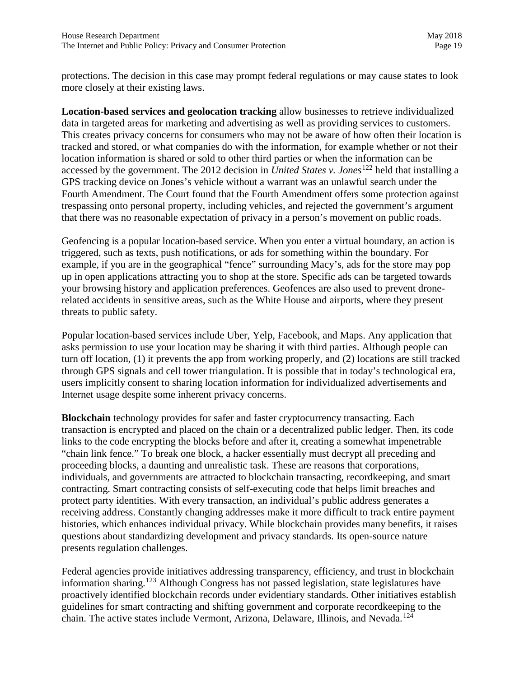protections. The decision in this case may prompt federal regulations or may cause states to look more closely at their existing laws.

**Location-based services and geolocation tracking** allow businesses to retrieve individualized data in targeted areas for marketing and advertising as well as providing services to customers. This creates privacy concerns for consumers who may not be aware of how often their location is tracked and stored, or what companies do with the information, for example whether or not their location information is shared or sold to other third parties or when the information can be accessed by the government. The 2012 decision in *United States v. Jones*[122](#page-27-50) held that installing a GPS tracking device on Jones's vehicle without a warrant was an unlawful search under the Fourth Amendment. The Court found that the Fourth Amendment offers some protection against trespassing onto personal property, including vehicles, and rejected the government's argument that there was no reasonable expectation of privacy in a person's movement on public roads.

Geofencing is a popular location-based service. When you enter a virtual boundary, an action is triggered, such as texts, push notifications, or ads for something within the boundary. For example, if you are in the geographical "fence" surrounding Macy's, ads for the store may pop up in open applications attracting you to shop at the store. Specific ads can be targeted towards your browsing history and application preferences. Geofences are also used to prevent dronerelated accidents in sensitive areas, such as the White House and airports, where they present threats to public safety.

Popular location-based services include Uber, Yelp, Facebook, and Maps. Any application that asks permission to use your location may be sharing it with third parties. Although people can turn off location, (1) it prevents the app from working properly, and (2) locations are still tracked through GPS signals and cell tower triangulation. It is possible that in today's technological era, users implicitly consent to sharing location information for individualized advertisements and Internet usage despite some inherent privacy concerns.

**Blockchain** technology provides for safer and faster cryptocurrency transacting. Each transaction is encrypted and placed on the chain or a decentralized public ledger. Then, its code links to the code encrypting the blocks before and after it, creating a somewhat impenetrable "chain link fence." To break one block, a hacker essentially must decrypt all preceding and proceeding blocks, a daunting and unrealistic task. These are reasons that corporations, individuals, and governments are attracted to blockchain transacting, recordkeeping, and smart contracting. Smart contracting consists of self-executing code that helps limit breaches and protect party identities. With every transaction, an individual's public address generates a receiving address. Constantly changing addresses make it more difficult to track entire payment histories, which enhances individual privacy. While blockchain provides many benefits, it raises questions about standardizing development and privacy standards. Its open-source nature presents regulation challenges.

Federal agencies provide initiatives addressing transparency, efficiency, and trust in blockchain information sharing.[123](#page-27-51) Although Congress has not passed legislation, state legislatures have proactively identified blockchain records under evidentiary standards. Other initiatives establish guidelines for smart contracting and shifting government and corporate recordkeeping to the chain. The active states include Vermont, Arizona, Delaware, Illinois, and Nevada.[124](#page-27-70)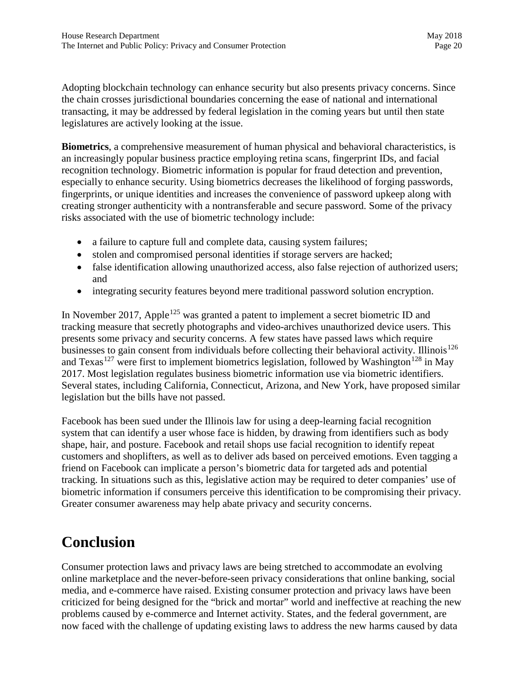Adopting blockchain technology can enhance security but also presents privacy concerns. Since the chain crosses jurisdictional boundaries concerning the ease of national and international transacting, it may be addressed by federal legislation in the coming years but until then state legislatures are actively looking at the issue.

**Biometrics**, a comprehensive measurement of human physical and behavioral characteristics, is an increasingly popular business practice employing retina scans, fingerprint IDs, and facial recognition technology. Biometric information is popular for fraud detection and prevention, especially to enhance security. Using biometrics decreases the likelihood of forging passwords, fingerprints, or unique identities and increases the convenience of password upkeep along with creating stronger authenticity with a nontransferable and secure password. Some of the privacy risks associated with the use of biometric technology include:

- a failure to capture full and complete data, causing system failures;
- stolen and compromised personal identities if storage servers are hacked;
- false identification allowing unauthorized access, also false rejection of authorized users; and
- integrating security features beyond mere traditional password solution encryption.

In November 2017, Apple<sup>[125](#page-27-71)</sup> was granted a patent to implement a secret biometric ID and tracking measure that secretly photographs and video-archives unauthorized device users. This presents some privacy and security concerns. A few states have passed laws which require businesses to gain consent from individuals before collecting their behavioral activity. Illinois<sup>[126](#page-27-72)</sup> and Texas<sup>[127](#page-27-73)</sup> were first to implement biometrics legislation, followed by Washington<sup>[128](#page-27-74)</sup> in May 2017. Most legislation regulates business biometric information use via biometric identifiers. Several states, including California, Connecticut, Arizona, and New York, have proposed similar legislation but the bills have not passed.

Facebook has been sued under the Illinois law for using a deep-learning facial recognition system that can identify a user whose face is hidden, by drawing from identifiers such as body shape, hair, and posture. Facebook and retail shops use facial recognition to identify repeat customers and shoplifters, as well as to deliver ads based on perceived emotions. Even tagging a friend on Facebook can implicate a person's biometric data for targeted ads and potential tracking. In situations such as this, legislative action may be required to deter companies' use of biometric information if consumers perceive this identification to be compromising their privacy. Greater consumer awareness may help abate privacy and security concerns.

## **Conclusion**

Consumer protection laws and privacy laws are being stretched to accommodate an evolving online marketplace and the never-before-seen privacy considerations that online banking, social media, and e-commerce have raised. Existing consumer protection and privacy laws have been criticized for being designed for the "brick and mortar" world and ineffective at reaching the new problems caused by e-commerce and Internet activity. States, and the federal government, are now faced with the challenge of updating existing laws to address the new harms caused by data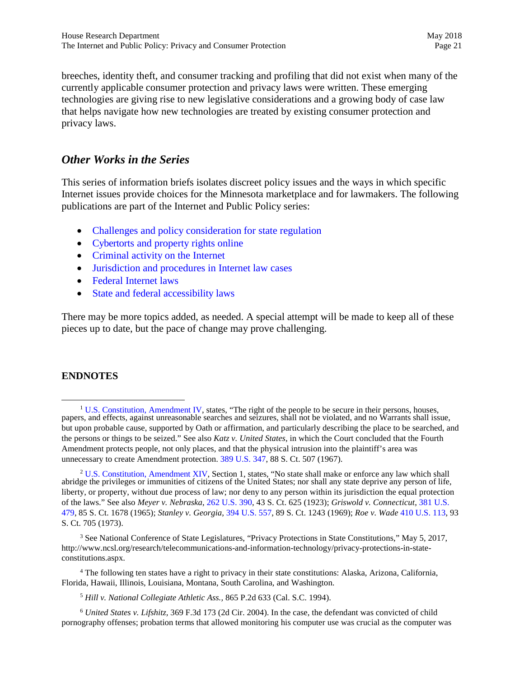breeches, identity theft, and consumer tracking and profiling that did not exist when many of the currently applicable consumer protection and privacy laws were written. These emerging technologies are giving rise to new legislative considerations and a growing body of case law that helps navigate how new technologies are treated by existing consumer protection and privacy laws.

#### *Other Works in the Series*

This series of information briefs isolates discreet policy issues and the ways in which specific Internet issues provide choices for the Minnesota marketplace and for lawmakers. The following publications are part of the Internet and Public Policy series:

- [Challenges and policy consideration for state regulation](http://www.house.leg.state.mn.us/hrd/pubs/int_statereg.pdf)
- [Cybertorts and property rights online](http://www.house.leg.state.mn.us/hrd/pubs/int_cybertorts.pdf)
- [Criminal activity on the](http://www.house.leg.state.mn.us/hrd/pubs/int_crime.pdf) Internet
- [Jurisdiction and procedures in Internet law cases](http://www.house.leg.state.mn.us/hrd/pubs/int_jurisdiction.pdf)
- Federal [Internet laws](http://www.house.leg.state.mn.us/hrd/issinfo/int_fedlaws.pdf)
- [State and federal accessibility laws](http://www.house.leg.state.mn.us/hrd/issinfo/int_accesslaw.pdf)

There may be more topics added, as needed. A special attempt will be made to keep all of these pieces up to date, but the pace of change may prove challenging.

#### **ENDNOTES**

<span id="page-20-2"></span><sup>3</sup> See National Conference of State Legislatures, "Privacy Protections in State Constitutions," May 5, 2017, http://www.ncsl.org/research/telecommunications-and-information-technology/privacy-protections-in-stateconstitutions.aspx.

<span id="page-20-3"></span><sup>4</sup> The following ten states have a right to privacy in their state constitutions: Alaska, Arizona, California, Florida, Hawaii, Illinois, Louisiana, Montana, South Carolina, and Washington.

<sup>5</sup> *Hill v. National Collegiate Athletic Ass.,* 865 P.2d 633 (Cal. S.C. 1994).

<span id="page-20-4"></span><sup>6</sup> *United States v. Lifshitz,* 369 F.3d 173 (2d Cir. 2004). In the case, the defendant was convicted of child pornography offenses; probation terms that allowed monitoring his computer use was crucial as the computer was

<span id="page-20-0"></span><sup>&</sup>lt;sup>1</sup> [U.S. Constitution,](https://www.law.cornell.edu/constitution/billofrights#amendmentiv) Amendment IV, states, "The right of the people to be secure in their persons, houses, papers, and effects, against unreasonable searches and seizures, shall not be violated, and no Warrants shall issue, but upon probable cause, supported by Oath or affirmation, and particularly describing the place to be searched, and the persons or things to be seized." See also *Katz v. United States*, in which the Court concluded that the Fourth Amendment protects people, not only places, and that the physical intrusion into the plaintiff's area was unnecessary to create Amendment protection. [389 U.S. 347,](https://www.law.cornell.edu/supremecourt/text/389/347) 88 S. Ct. 507 (1967).

<span id="page-20-1"></span><sup>&</sup>lt;sup>2</sup> [U.S. Constitution,](https://www.law.cornell.edu/constitution/amendmentxiv) Amendment XIV, Section 1, states, "No state shall make or enforce any law which shall abridge the privileges or immunities of citizens of the United States; nor shall any state deprive any person of life, liberty, or property, without due process of law; nor deny to any person within its jurisdiction the equal protection of the laws." See also *Meyer v. Nebraska*, [262 U.S. 390,](https://www.law.cornell.edu/supremecourt/text/262/390) 43 S. Ct. 625 (1923); *Griswold v. Connecticut*, [381 U.S.](https://www.law.cornell.edu/supremecourt/text/381/479)  [479](https://www.law.cornell.edu/supremecourt/text/381/479), 85 S. Ct. 1678 (1965); *Stanley v. Georgia*, [394 U.S.](https://www.law.cornell.edu/supremecourt/text/394/557) 557, 89 S. Ct. 1243 (1969); *Roe v. Wade* [410 U.S. 113,](https://www.law.cornell.edu/supremecourt/text/410/113) 93 S. Ct. 705 (1973).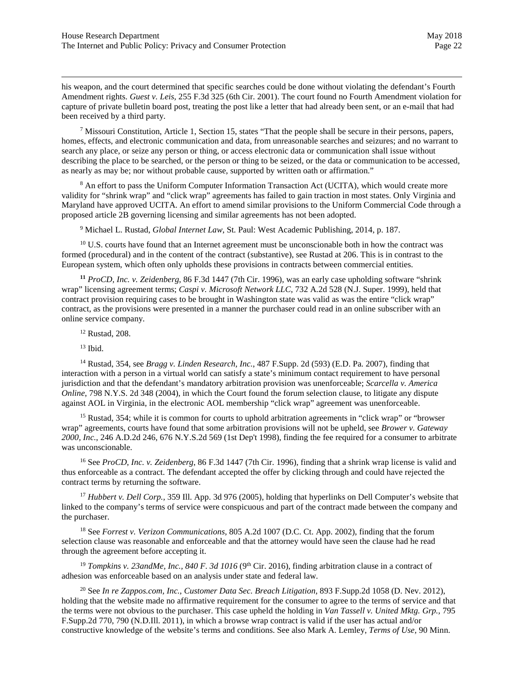his weapon, and the court determined that specific searches could be done without violating the defendant's Fourth Amendment rights. *Guest v. Leis,* 255 F.3d 325 (6th Cir. 2001). The court found no Fourth Amendment violation for capture of private bulletin board post, treating the post like a letter that had already been sent, or an e-mail that had been received by a third party.

<span id="page-21-1"></span><sup>7</sup> Missouri Constitution, Article 1, Section 15, states "That the people shall be secure in their persons, papers, homes, effects, and electronic communication and data, from unreasonable searches and seizures; and no warrant to search any place, or seize any person or thing, or access electronic data or communication shall issue without describing the place to be searched, or the person or thing to be seized, or the data or communication to be accessed, as nearly as may be; nor without probable cause, supported by written oath or affirmation."

<span id="page-21-2"></span><sup>8</sup> An effort to pass the Uniform Computer Information Transaction Act (UCITA), which would create more validity for "shrink wrap" and "click wrap" agreements has failed to gain traction in most states. Only Virginia and Maryland have approved UCITA. An effort to amend similar provisions to the Uniform Commercial Code through a proposed article 2B governing licensing and similar agreements has not been adopted.

<sup>9</sup> Michael L. Rustad, *Global Internet Law*, St. Paul: West Academic Publishing, 2014, p. 187.

<sup>10</sup> U.S. courts have found that an Internet agreement must be unconscionable both in how the contract was formed (procedural) and in the content of the contract (substantive), see Rustad at 206. This is in contrast to the European system, which often only upholds these provisions in contracts between commercial entities.

**<sup>11</sup>** *ProCD, Inc. v. Zeidenberg*, 86 F.3d 1447 (7th Cir. 1996), was an early case upholding software "shrink wrap" licensing agreement terms; *Caspi v. Microsoft Network LLC,* 732 A.2d 528 (N.J. Super. 1999), held that contract provision requiring cases to be brought in Washington state was valid as was the entire "click wrap" contract, as the provisions were presented in a manner the purchaser could read in an online subscriber with an online service company.

<sup>12</sup> Rustad, 208.

 $13$  Ibid.

<sup>14</sup> Rustad, 354, see *Bragg v. Linden Research, Inc.*, 487 F.Supp. 2d (593) (E.D. Pa. 2007), finding that interaction with a person in a virtual world can satisfy a state's minimum contact requirement to have personal jurisdiction and that the defendant's mandatory arbitration provision was unenforceable; *Scarcella v. America Online*, 798 N.Y.S. 2d 348 (2004), in which the Court found the forum selection clause, to litigate any dispute against AOL in Virginia, in the electronic AOL membership "click wrap" agreement was unenforceable.

<sup>15</sup> Rustad, 354; while it is common for courts to uphold arbitration agreements in "click wrap" or "browser" wrap" agreements, courts have found that some arbitration provisions will not be upheld, see *Brower v. Gateway 2000, Inc.*, 246 A.D.2d 246, 676 N.Y.S.2d 569 (1st Dep't 1998), finding the fee required for a consumer to arbitrate was unconscionable.

<sup>16</sup> See *ProCD, Inc. v. Zeidenberg*, 86 F.3d 1447 (7th Cir. 1996), finding that a shrink wrap license is valid and thus enforceable as a contract. The defendant accepted the offer by clicking through and could have rejected the contract terms by returning the software.

<sup>17</sup> *Hubbert v. Dell Corp.*, 359 Ill. App. 3d 976 (2005), holding that hyperlinks on Dell Computer's website that linked to the company's terms of service were conspicuous and part of the contract made between the company and the purchaser.

<sup>18</sup> See *Forrest v. Verizon Communications,* 805 A.2d 1007 (D.C. Ct. App. 2002), finding that the forum selection clause was reasonable and enforceable and that the attorney would have seen the clause had he read through the agreement before accepting it.

<sup>19</sup> *Tompkins v. 23andMe, Inc., 840 F. 3d 1016* (9<sup>th</sup> Cir. 2016), finding arbitration clause in a contract of adhesion was enforceable based on an analysis under state and federal law.

<span id="page-21-0"></span>20 See *In re Zappos.com, Inc., Customer Data Sec. Breach Litigation,* 893 F.Supp.2d 1058 (D. Nev. 2012), holding that the website made no affirmative requirement for the consumer to agree to the terms of service and that the terms were not obvious to the purchaser. This case upheld the holding in *Van Tassell v. United Mktg. Grp.,* 795 F.Supp.2d 770, 790 (N.D.Ill. 2011), in which a browse wrap contract is valid if the user has actual and/or constructive knowledge of the website's terms and conditions. See also Mark A. Lemley, *Terms of Use,* 90 Minn.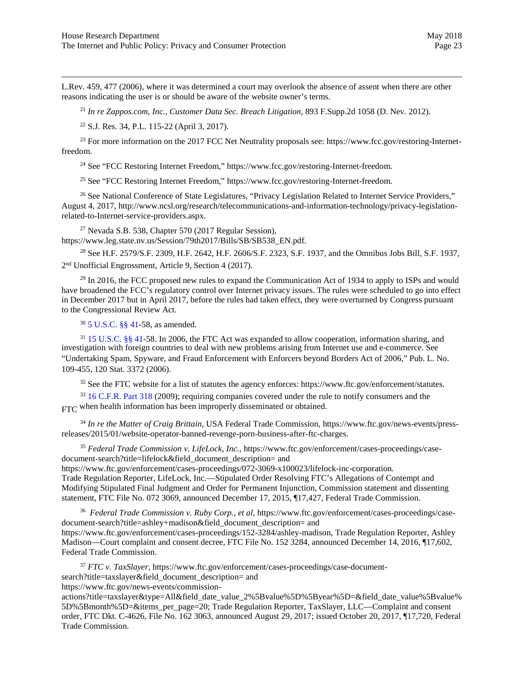<span id="page-22-12"></span>L.Rev. 459, 477 (2006), where it was determined a court may overlook the absence of assent when there are other reasons indicating the user is or should be aware of the website owner's terms.

<sup>21</sup> *In re Zappos.com, Inc., Customer Data Sec. Breach Litigation,* 893 F.Supp.2d 1058 (D. Nev. 2012).

<sup>22</sup> S.J. Res. 34, P.L. 115-22 (April 3, 2017).

<sup>23</sup> For more information on the 2017 FCC Net Neutrality proposals see: https://www.fcc.gov/restoring-Internetfreedom.

<sup>24</sup> See "FCC Restoring Internet Freedom," https://www.fcc.gov/restoring-Internet-freedom.

<sup>25</sup> See "FCC Restoring Internet Freedom," https://www.fcc.gov/restoring-Internet-freedom.

<sup>26</sup> See National Conference of State Legislatures, "Privacy Legislation Related to Internet Service Providers," August 4, 2017, http://www.ncsl.org/research/telecommunications-and-information-technology/privacy-legislationrelated-to-Internet-service-providers.aspx.

 $^{27}$  Nevada S.B. 538, Chapter 570 (2017 Regular Session),

<span id="page-22-1"></span><span id="page-22-0"></span>https://www.leg.state.nv.us/Session/79th2017/Bills/SB/SB538\_EN.pdf.

<sup>28</sup> See H.F. 2579/S.F. 2309, H.F. 2642, H.F. 2606/S.F. 2323, S.F. 1937, and the Omnibus Jobs Bill, S.F. 1937, 2 nd Unofficial Engrossment, Article 9, Section 4 (2017).

<span id="page-22-2"></span> $^{29}$  In 2016, the FCC proposed new rules to expand the Communication Act of 1934 to apply to ISPs and would have broadened the FCC's regulatory control over Internet privacy issues. The rules were scheduled to go into effect in December 2017 but in April 2017, before the rules had taken effect, they were overturned by Congress pursuant to the Congressional Review Act.

<sup>30</sup> 5 [U.S.C. §§ 41](https://www.law.cornell.edu/uscode/text/5/part-III/subpart-C/chapter-41)-58, as amended.

<span id="page-22-5"></span><span id="page-22-4"></span><span id="page-22-3"></span><sup>31</sup> [15 U.S.C. §§ 41](https://www.law.cornell.edu/uscode/text/15/41)-58. In 2006, the FTC Act was expanded to allow cooperation, information sharing, and investigation with foreign countries to deal with new problems arising from Internet use and e-commerce. See "Undertaking Spam, Spyware, and Fraud Enforcement with Enforcers beyond Borders Act of 2006," Pub. L. No. 109-455, 120 Stat. 3372 (2006).

<sup>32</sup> See the FTC website for a list of statutes the agency enforces: https://www.ftc.gov/enforcement/statutes.

<sup>33</sup> [16 C.F.R. Part 318](https://www.law.cornell.edu/cfr/text/16/part-318) (2009); requiring companies covered under the rule to notify consumers and the FTC when health information has been improperly disseminated or obtained.

<span id="page-22-6"></span><sup>34</sup> *In re the Matter of Craig Brittain,* USA Federal Trade Commission, https://www.ftc.gov/news-events/pressreleases/2015/01/website-operator-banned-revenge-porn-business-after-ftc-charges.

<sup>35</sup> *Federal Trade Commission v. LifeLock, Inc.*, https://www.ftc.gov/enforcement/cases-proceedings/casedocument-search?title=lifelock&field\_document\_description= and

<span id="page-22-7"></span>https://www.ftc.gov/enforcement/cases-proceedings/072-3069-x100023/lifelock-inc-corporation. Trade Regulation Reporter, LifeLock, Inc.—Stipulated Order Resolving FTC's Allegations of Contempt and Modifying Stipulated Final Judgment and Order for Permanent Injunction, Commission statement and dissenting statement, FTC File No. 072 3069, announced December 17, 2015, ¶17,427, Federal Trade Commission.

<span id="page-22-9"></span><span id="page-22-8"></span>36 *Federal Trade Commission v. Ruby Corp., et al*, https://www.ftc.gov/enforcement/cases-proceedings/casedocument-search?title=ashley+madison&field\_document\_description= and https://www.ftc.gov/enforcement/cases-proceedings/152-3284/ashley-madison, Trade Regulation Reporter, Ashley Madison—Court complaint and consent decree, FTC File No. 152 3284, announced December 14, 2016, ¶17,602, Federal Trade Commission.

<sup>37</sup> *FTC v. TaxSlayer,* https://www.ftc.gov/enforcement/cases-proceedings/case-document-

<span id="page-22-10"></span>search?title=taxslayer&field\_document\_description= and

<span id="page-22-11"></span>https://www.ftc.gov/news-events/commission-

actions?title=taxslayer&type=All&field\_date\_value\_2%5Bvalue%5D%5Byear%5D=&field\_date\_value%5Bvalue% 5D%5Bmonth%5D=&items\_per\_page=20; Trade Regulation Reporter, TaxSlayer, LLC—Complaint and consent order, FTC Dkt. C-4626, File No. 162 3063, announced August 29, 2017; issued October 20, 2017, ¶17,720, Federal Trade Commission.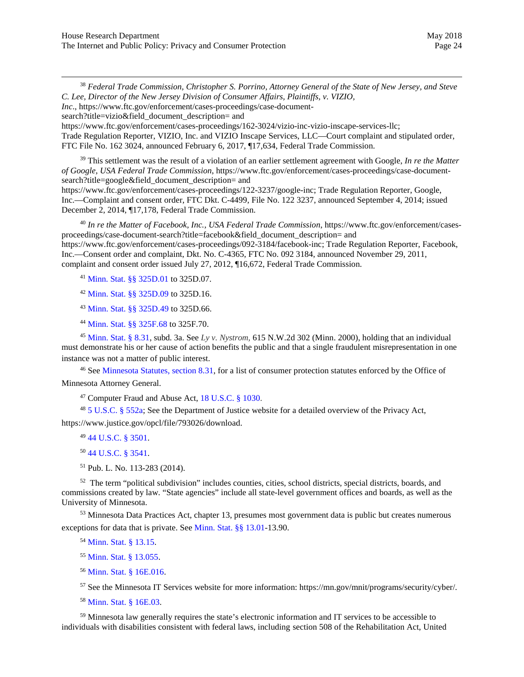<sup>38</sup> *Federal Trade Commission, Christopher S. Porrino, Attorney General of the State of New Jersey, and Steve C. Lee, Director of the New Jersey Division of Consumer Affairs, Plaintiffs, v. VIZIO,* 

*Inc*., https://www.ftc.gov/enforcement/cases-proceedings/case-document-

search?title=vizio&field\_document\_description= and

<span id="page-23-1"></span><span id="page-23-0"></span>https://www.ftc.gov/enforcement/cases-proceedings/162-3024/vizio-inc-vizio-inscape-services-llc; Trade Regulation Reporter, VIZIO, Inc. and VIZIO Inscape Services, LLC—Court complaint and stipulated order, FTC File No. 162 3024, announced February 6, 2017, ¶17,634, Federal Trade Commission.

<span id="page-23-2"></span><sup>39</sup> This settlement was the result of a violation of an earlier settlement agreement with Google, *In re the Matter of Google, USA Federal Trade Commission*, https://www.ftc.gov/enforcement/cases-proceedings/case-documentsearch?title=google&field\_document\_description= and https://www.ftc.gov/enforcement/cases-proceedings/122-3237/google-inc; Trade Regulation Reporter, Google,

<span id="page-23-3"></span>Inc.—Complaint and consent order, FTC Dkt. C-4499, File No. 122 3237, announced September 4, 2014; issued December 2, 2014, ¶17,178, Federal Trade Commission.

<sup>40</sup> *In re the Matter of Facebook, Inc., USA Federal Trade Commission*, https://www.ftc.gov/enforcement/casesproceedings/case-document-search?title=facebook&field\_document\_description= and https://www.ftc.gov/enforcement/cases-proceedings/092-3184/facebook-inc; Trade Regulation Reporter, Facebook, Inc.—Consent order and complaint, Dkt. No. C-4365, FTC No. 092 3184, announced November 29, 2011,

complaint and consent order issued July 27, 2012, ¶16,672, Federal Trade Commission.

<sup>41</sup> [Minn. Stat.](https://www.revisor.mn.gov/statutes/?id=325D.01) §§ 325D.01 to 325D.07.

<sup>42</sup> [Minn. Stat. §§](https://www.revisor.mn.gov/statutes/?id=325D.09) 325D.09 to 325D.16.

<sup>43</sup> [Minn. Stat.](https://www.revisor.mn.gov/statutes/?id=325D.49) §§ 325D.49 to 325D.66.

<sup>44</sup> [Minn. Stat.](https://www.revisor.mn.gov/statutes/?id=325F.68) §§ 325F.68 to 325F.70.

<sup>45</sup> [Minn. Stat.](https://www.revisor.mn.gov/statutes/?id=8.31) § 8.31, subd. 3a. See *Ly v. Nystrom,* 615 N.W.2d 302 (Minn. 2000), holding that an individual must demonstrate his or her cause of action benefits the public and that a single fraudulent misrepresentation in one instance was not a matter of public interest.

<sup>46</sup> See [Minnesota Statutes, section](https://www.revisor.mn.gov/statutes/?id=8.31) 8.31, for a list of consumer protection statutes enforced by the Office of Minnesota Attorney General.

<sup>47</sup> Computer Fraud and Abuse Act, [18 U.S.C. § 1030](https://www.law.cornell.edu/uscode/text/18/1030).

<sup>48</sup> [5 U.S.C.](https://www.law.cornell.edu/uscode/text/5/552a) § 552a; See the Department of Justice website for a detailed overview of the Privacy Act, https://www.justice.gov/opcl/file/793026/download.

<sup>49</sup> [44 U.S.C. §](https://www.law.cornell.edu/uscode/text/44/chapter-35/subchapter-I) 3501.

<sup>50</sup> [44 U.S.C.](https://www.law.cornell.edu/uscode/text/44/3541) § 3541.

51 Pub. L. No. 113-283 (2014).

 $52$  The term "political subdivision" includes counties, cities, school districts, special districts, boards, and commissions created by law. "State agencies" include all state-level government offices and boards, as well as the University of Minnesota.

53 Minnesota Data Practices Act, chapter 13, presumes most government data is public but creates numerous exceptions for data that is private. See [Minn. Stat. §§ 13.01](https://www.revisor.mn.gov/statutes/?id=13.01)-13.90.

<sup>54</sup> [Minn. Stat. § 13.15.](https://www.revisor.mn.gov/statutes/?id=13.15)

<sup>55</sup> [Minn. Stat. §](https://www.revisor.mn.gov/statutes/?id=13.055) 13.055.

<sup>56</sup> [Minn. Stat. § 16E.016.](https://www.revisor.mn.gov/statutes/?id=16E.016)

<sup>57</sup> See the Minnesota IT Services website for more information: https://mn.gov/mnit/programs/security/cyber/.

<sup>58</sup> [Minn. Stat. § 16E.03.](https://www.revisor.mn.gov/statutes/?id=16E.03)

<sup>59</sup> Minnesota law generally requires the state's electronic information and IT services to be accessible to individuals with disabilities consistent with federal laws, including section 508 of the Rehabilitation Act, United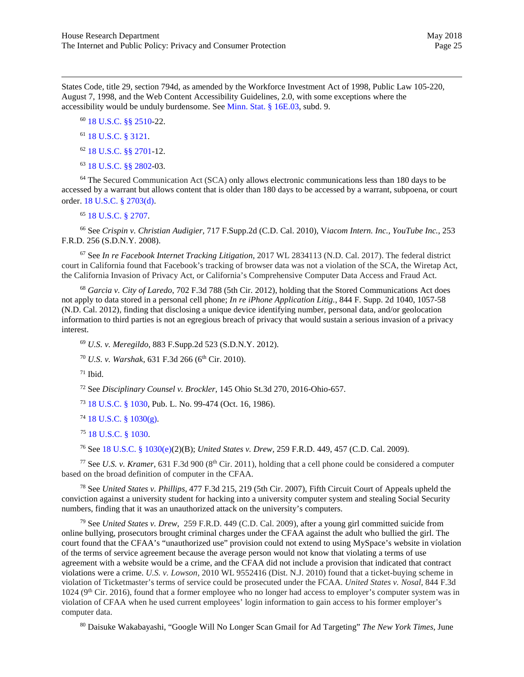States Code, title 29, section 794d, as amended by the Workforce Investment Act of 1998, Public Law 105-220, August 7, 1998, and the Web Content Accessibility Guidelines, 2.0, with some exceptions where the accessibility would be unduly burdensome. See [Minn. Stat. § 16E.03,](https://www.revisor.mn.gov/statutes/?id=16E.03) subd. 9.

<sup>60</sup> [18 U.S.C. §§ 2510](https://www.law.cornell.edu/uscode/text/18/2510)-22.

#### <sup>61</sup> [18 U.S.C. § 3121](https://www.law.cornell.edu/uscode/text/18/3121).

- <sup>62</sup> [18 U.S.C. §§ 2701-12.](https://www.law.cornell.edu/uscode/text/18/2701)
- <sup>63</sup> [18 U.S.C. §§ 2802-](https://www.law.cornell.edu/uscode/text/18/2702)03.

<span id="page-24-0"></span><sup>64</sup> The Secured Communication Act (SCA) only allows electronic communications less than 180 days to be accessed by a warrant but allows content that is older than 180 days to be accessed by a warrant, subpoena, or court order. [18 U.S.C. § 2703\(d\).](https://www.law.cornell.edu/uscode/text/18/2703)

#### <sup>65</sup> 18 [U.S.C. § 2707.](https://www.law.cornell.edu/uscode/text/18/2707)

<span id="page-24-1"></span><sup>66</sup> See *Crispin v. Christian Audigier,* 717 F.Supp.2d (C.D. Cal. 2010), V*iacom Intern. Inc., YouTube Inc.*, 253 F.R.D. 256 (S.D.N.Y. 2008).

<span id="page-24-2"></span><sup>67</sup> See *In re Facebook Internet Tracking Litigation,* 2017 WL 2834113 (N.D. Cal. 2017). The federal district court in California found that Facebook's tracking of browser data was not a violation of the SCA, the Wiretap Act, the California Invasion of Privacy Act, or California's Comprehensive Computer Data Access and Fraud Act.

<span id="page-24-5"></span><span id="page-24-4"></span><span id="page-24-3"></span><sup>68</sup> *Garcia v. City of Laredo*, 702 F.3d 788 (5th Cir. 2012), holding that the Stored Communications Act does not apply to data stored in a personal cell phone; *In re iPhone Application Litig.*, 844 F. Supp. 2d 1040, 1057-58 (N.D. Cal. 2012), finding that disclosing a unique device identifying number, personal data, and/or geolocation information to third parties is not an egregious breach of privacy that would sustain a serious invasion of a privacy interest.

<sup>69</sup> *U.S. v. Meregildo*, 883 F.Supp.2d 523 (S.D.N.Y. 2012).

<sup>70</sup> *U.S. v. Warshak,* 631 F.3d 266 (6<sup>th</sup> Cir. 2010).

 $71$  Ibid.

<sup>72</sup> See *Disciplinary Counsel v. Brockler,* 145 Ohio St.3d 270, 2016-Ohio-657.

<sup>73</sup> [18 U.S.C. § 1030,](https://www.law.cornell.edu/uscode/text/18/1030) Pub. L. No. 99-474 (Oct. 16, 1986).

<sup>74</sup> [18 U.S.C. § 1030\(g\).](https://www.law.cornell.edu/uscode/text/18/1030)

<sup>75</sup> [18 U.S.C. § 1030](https://www.law.cornell.edu/uscode/text/18/1030).

<sup>76</sup> See [18 U.S.C. § 1030\(](https://www.law.cornell.edu/uscode/text/18/1030)e)(2)(B); *United States v. Drew,* 259 F.R.D. 449, 457 (C.D. Cal. 2009).

<sup>77</sup> See *U.S. v. Kramer*, 631 F.3d 900 (8<sup>th</sup> Cir. 2011), holding that a cell phone could be considered a computer based on the broad definition of computer in the CFAA.

<sup>78</sup> See *United States v. Phillips,* 477 F.3d 215, 219 (5th Cir. 2007), Fifth Circuit Court of Appeals upheld the conviction against a university student for hacking into a university computer system and stealing Social Security numbers, finding that it was an unauthorized attack on the university's computers.

<sup>79</sup> See *United States v. Drew,* 259 F.R.D. 449 (C.D. Cal. 2009), after a young girl committed suicide from online bullying, prosecutors brought criminal charges under the CFAA against the adult who bullied the girl. The court found that the CFAA's "unauthorized use" provision could not extend to using MySpace's website in violation of the terms of service agreement because the average person would not know that violating a terms of use agreement with a website would be a crime, and the CFAA did not include a provision that indicated that contract violations were a crime. *U.S. v. Lowson,* 2010 WL 9552416 (Dist. N.J. 2010) found that a ticket-buying scheme in violation of Ticketmaster's terms of service could be prosecuted under the FCAA. *United States v. Nosal,* 844 F.3d 1024 (9<sup>th</sup> Cir. 2016), found that a former employee who no longer had access to employer's computer system was in violation of CFAA when he used current employees' login information to gain access to his former employer's computer data.

<sup>80</sup> Daisuke Wakabayashi, "Google Will No Longer Scan Gmail for Ad Targeting" *The New York Times*, June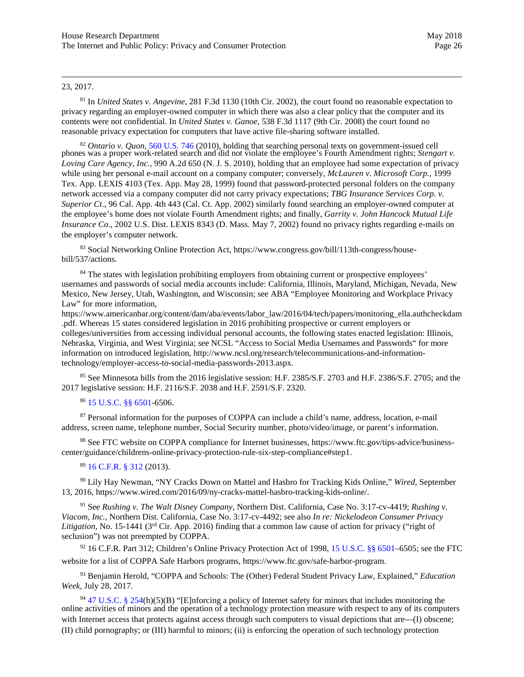#### <span id="page-25-6"></span>23, 2017.

<sup>81</sup> In *United States v. Angevine*, 281 F.3d 1130 (10th Cir. 2002), the court found no reasonable expectation to privacy regarding an employer-owned computer in which there was also a clear policy that the computer and its contents were not confidential. In *United States v. Ganoe*, 538 F.3d 1117 (9th Cir. 2008) the court found no reasonable privacy expectation for computers that have active file-sharing software installed.

<span id="page-25-7"></span><sup>82</sup> *Ontario v. Quon*[, 560](https://en.wikipedia.org/wiki/List_of_United_States_Supreme_Court_cases,_volume_560) U.S. 746 (2010), holding that searching personal texts on government-issued cell phones was a proper work-related search and did not violate the employee's Fourth Amendment rights; *Stengart v. Loving Care Agency, Inc.,* 990 A.2d 650 (N. J. S. 2010), holding that an employee had some expectation of privacy while using her personal e-mail account on a company computer; conversely, *McLauren v. Microsoft Corp.,* 1999 Tex. App. LEXIS 4103 (Tex. App. May 28, 1999) found that password-protected personal folders on the company network accessed via a company computer did not carry privacy expectations; *TBG Insurance Services Corp. v. Superior Ct*., 96 Cal. App. 4th 443 (Cal. Ct. App. 2002) similarly found searching an employer-owned computer at the employee's home does not violate Fourth Amendment rights; and finally, *Garrity v. John Hancock Mutual Life Insurance Co*., 2002 U.S. Dist. LEXIS 8343 (D. Mass. May 7, 2002) found no privacy rights regarding e-mails on the employer's computer network.

83 Social Networking Online Protection Act, https://www.congress.gov/bill/113th-congress/housebill/537/actions.

<sup>84</sup> The states with legislation prohibiting employers from obtaining current or prospective employees' usernames and passwords of social media accounts include: California, Illinois, Maryland, Michigan, Nevada, New Mexico, New Jersey, Utah, Washington, and Wisconsin; see ABA "Employee Monitoring and Workplace Privacy Law" for more information,

https://www.americanbar.org/content/dam/aba/events/labor\_law/2016/04/tech/papers/monitoring\_ella.authcheckdam .pdf. Whereas 15 states considered legislation in 2016 prohibiting prospective or current employers or colleges/universities from accessing individual personal accounts, the following states enacted legislation: Illinois, Nebraska, Virginia, and West Virginia; see NCSL "Access to Social Media Usernames and Passwords" for more information on introduced legislation, http://www.ncsl.org/research/telecommunications-and-informationtechnology/employer-access-to-social-media-passwords-2013.aspx.

<span id="page-25-0"></span><sup>85</sup> See Minnesota bills from the 2016 legislative session: H.F. 2385/S.F. 2703 and H.F. 2386/S.F. 2705; and the 2017 legislative session: H.F. 2116/S.F. 2038 and H.F. 2591/S.F. 2320.

#### <sup>86</sup> [15 U.S.C.](https://www.law.cornell.edu/uscode/text/15/chapter-91) §§ 6501-6506.

<span id="page-25-2"></span><span id="page-25-1"></span><sup>87</sup> Personal information for the purposes of COPPA can include a child's name, address, location, e-mail address, screen name, telephone number, Social Security number, photo/video/image, or parent's information.

<span id="page-25-3"></span><sup>88</sup> See FTC website on COPPA compliance for Internet businesses, https://www.ftc.gov/tips-advice/businesscenter/guidance/childrens-online-privacy-protection-rule-six-step-compliance#step1.

#### <sup>89</sup> [16 C.F.R. § 312](https://www.law.cornell.edu/cfr/text/16/part-312) (2013).

<sup>90</sup> Lily Hay Newman, "NY Cracks Down on Mattel and Hasbro for Tracking Kids Online," *Wired*, September 13, 2016, https://www.wired.com/2016/09/ny-cracks-mattel-hasbro-tracking-kids-online/.

<span id="page-25-4"></span><sup>91</sup> See *Rushing v. The Walt Disney Company,* Northern Dist. California, Case No. 3:17-cv-4419; *Rushing v. Viacom, Inc.,* Northern Dist. California, Case No. 3:17-cv-4492; see also *In re: Nickelodeon Consumer Privacy Litigation,* No. 15-1441 (3rd Cir. App. 2016) finding that a common law cause of action for privacy ("right of seclusion") was not preempted by COPPA.

 $92$  16 C.F.R. Part 312; Children's Online Privacy Protection Act of 1998, [15 U.S.C. §§ 6501–6505;](http://uscode.house.gov/view.xhtml?req=granuleid%3AUSC-prelim-title15-section6501&edition=prelim) see the FTC website for a list of COPPA Safe Harbors programs, https://www.ftc.gov/safe-harbor-program.

<span id="page-25-5"></span><sup>93</sup> Benjamin Herold, "COPPA and Schools: The (Other) Federal Student Privacy Law, Explained," *Education Week*, July 28, 2017.

<sup>94</sup> [47 U.S.C. § 254](https://www.law.cornell.edu/uscode/text/47/254)(h)(5)(B) "[E]nforcing a policy of Internet safety for minors that includes monitoring the online activities of minors and the operation of a technology protection measure with respect to any of its computers with Internet access that protects against access through such computers to visual depictions that are—(I) obscene; (II) child pornography; or (III) harmful to minors; (ii) is enforcing the operation of such technology protection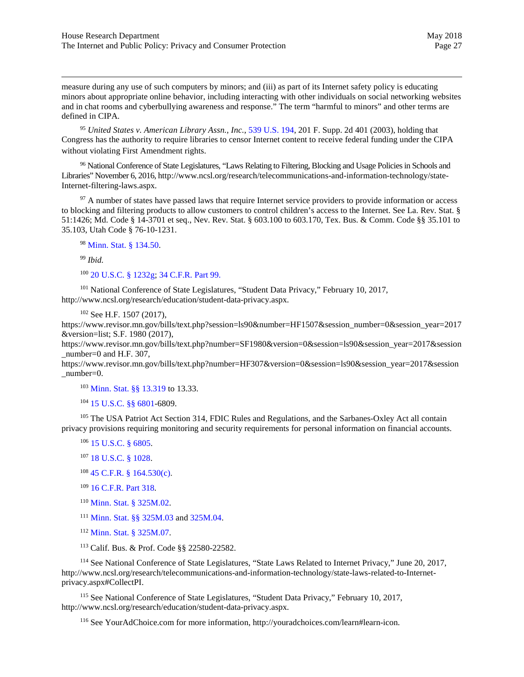measure during any use of such computers by minors; and (iii) as part of its Internet safety policy is educating minors about appropriate online behavior, including interacting with other individuals on social networking websites and in chat rooms and cyberbullying awareness and response." The term "harmful to minors" and other terms are defined in CIPA.

<sup>95</sup> *United States v. American Library Assn., Inc.*, [539 U.S. 194,](https://www.law.cornell.edu/supct/html/02-361.ZO.html) 201 F. Supp. 2d 401 (2003), holding that Congress has the authority to require libraries to censor Internet content to receive federal funding under the CIPA without violating First Amendment rights.

96 National Conference of State Legislatures, "Laws Relating to Filtering, Blocking and Usage Policies in Schools and Libraries" November 6, 2016, http://www.ncsl.org/research/telecommunications-and-information-technology/state-Internet-filtering-laws.aspx.

<span id="page-26-0"></span><sup>97</sup> A number of states have passed laws that require Internet service providers to provide information or access to blocking and filtering products to allow customers to control children's access to the Internet. See La. Rev. Stat. § 51:1426; Md. Code § 14-3701 et seq., Nev. Rev. Stat. § 603.100 to 603.170, Tex. Bus. & Comm. Code §§ 35.101 to 35.103, Utah Code § 76-10-1231.

<sup>98</sup> [Minn. Stat. § 134.50.](https://www.revisor.mn.gov/statutes/?id=134.50)

<sup>99</sup> *Ibid.*

<sup>100</sup> [20 U.S.C. § 1232g;](https://www.law.cornell.edu/uscode/text/20/1232g) 34 C.F.R. [Part 99.](https://www.law.cornell.edu/cfr/text/34/part-99)

<span id="page-26-2"></span><span id="page-26-1"></span><sup>101</sup> National Conference of State Legislatures, "Student Data Privacy," February 10, 2017, http://www.ncsl.org/research/education/student-data-privacy.aspx.

<sup>102</sup> See H.F. 1507 (2017),

<span id="page-26-4"></span><span id="page-26-3"></span>https://www.revisor.mn.gov/bills/text.php?session=ls90&number=HF1507&session\_number=0&session\_year=2017 &version=list; S.F. 1980 (2017),

<span id="page-26-5"></span>https://www.revisor.mn.gov/bills/text.php?number=SF1980&version=0&session=ls90&session\_year=2017&session number=0 and H.F.  $307$ ,

<span id="page-26-6"></span>https://www.revisor.mn.gov/bills/text.php?number=HF307&version=0&session=ls90&session\_year=2017&session number=0.

<sup>103</sup> [Minn. Stat. §§ 13.319](https://www.revisor.mn.gov/statutes/?id=13.319) to 13.33.

<sup>104</sup> [15 U.S.C. §§ 6801-](https://www.law.cornell.edu/uscode/text/15/6801)6809.

<span id="page-26-7"></span><sup>105</sup> The USA Patriot Act Section 314, FDIC Rules and Regulations, and the Sarbanes-Oxley Act all contain privacy provisions requiring monitoring and security requirements for personal information on financial accounts.

- <sup>106</sup> [15 U.S.C. § 6805.](https://www.law.cornell.edu/uscode/text/15/6805)
- <sup>107</sup> [18 U.S.C.](https://www.law.cornell.edu/uscode/text/18/1028) § 1028.
- <sup>108</sup> [45 C.F.R. § 164.530\(c\)](https://www.law.cornell.edu/cfr/text/45/164.530).
- <sup>109</sup> [16 C.F.R.](https://www.law.cornell.edu/cfr/text/16/part-318) Part 318.
- <sup>110</sup> [Minn. Stat. § 325M.02.](https://www.revisor.mn.gov/statutes/?id=325M.02)
- 111 [Minn. Stat. §§ 325M.03](https://www.revisor.mn.gov/statutes/?id=325M.03) and [325M.04](https://www.revisor.mn.gov/statutes/?id=325M.04).
- <sup>112</sup> [Minn. Stat. § 325M.07.](https://www.revisor.mn.gov/statutes/?id=325M.07)
- <sup>113</sup> Calif. Bus. & Prof. Code §§ 22580-22582.

<sup>114</sup> See National Conference of State Legislatures, "State Laws Related to Internet Privacy," June 20, 2017, http://www.ncsl.org/research/telecommunications-and-information-technology/state-laws-related-to-Internetprivacy.aspx#CollectPI.

<sup>115</sup> See National Conference of State Legislatures, "Student Data Privacy," February 10, 2017, http://www.ncsl.org/research/education/student-data-privacy.aspx.

<sup>116</sup> See YourAdChoice.com for more information, http://youradchoices.com/learn#learn-icon.